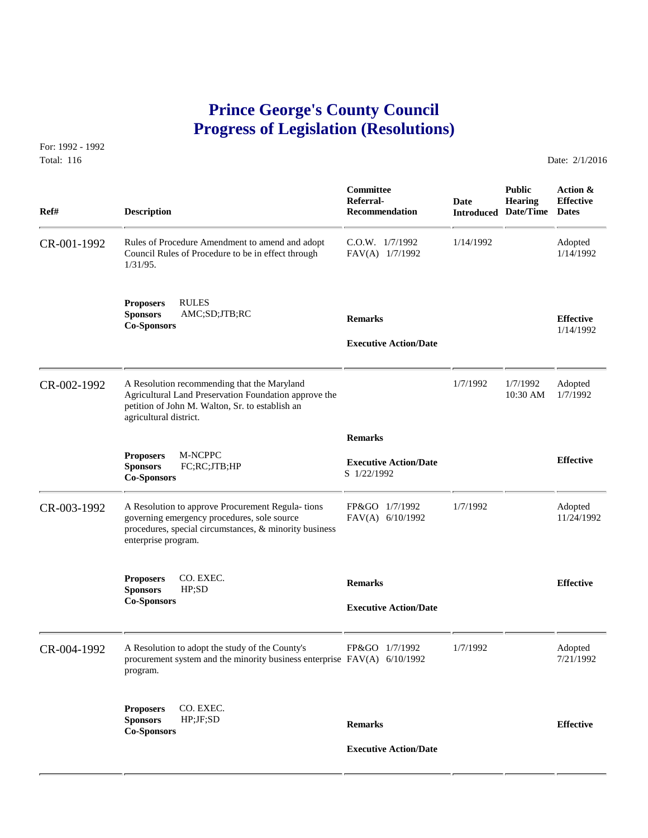## **Prince George's County Council Progress of Legislation (Resolutions)**

For: 1992 - 1992 Total: 116 Date: 2/1/2016

 **Committee Public Action & Referral- Date Hearing Effective Ref# Description Description Recommendation Introduced Date/Time** Dates CR-001-1992 Rules of Procedure Amendment to amend and adopt C.O.W. 1/7/1992 1/14/1992 Adopted Council Rules of Procedure to be in effect through FAV(A) 1/7/1992 1/14/1992 Council Rules of Procedure to be in effect through 1/31/95. **Proposers** RULES **Sponsors** AMC;SD;JTB;RC **Remarks Effective Co-Sponsors** 1/14/1992  **Executive Action/Date** CR-002-1992 A Resolution recommending that the Maryland 1/7/1992 1/7/1992 Adopted<br>Agricultural Land Preservation Foundation approve the 10:30 AM 1/7/1992 Agricultural Land Preservation Foundation approve the petition of John M. Walton, Sr. to establish an agricultural district.  **Remarks Proposers** M-NCPPC **Executive Action/Date Effective Sponsors FC;RC;JTB;HP Effective Effective Co-Sponsors Co-Sponsors Co-Sponsors Co-Sponsors Co-Sponsors Co-Sponsors Co-Sponsors Co-Sponsors Co-Sp** CR-003-1992 A Resolution to approve Procurement Regula- tions FP&GO 1/7/1992 1/7/1992 Adopted<br>governing emergency procedures, sole source FAV(A) 6/10/1992 11/24/1992 governing emergency procedures, sole source procedures, special circumstances, & minority business enterprise program. **Proposers** CO. EXEC. **Remarks Effective Sponsors** HP;SD **Co-Sponsors Executive Action/Date** CR-004-1992 A Resolution to adopt the study of the County's FP&GO 1/7/1992 1/7/1992 Adopted<br>procurement system and the minority business enterprise FAV(A) 6/10/1992 1/7/1992 7/21/1992 procurement system and the minority business enterprise  $FAV(A)$  6/10/1992 program. **Proposers** CO. EXEC. **Sponsors** HP;JF;SD **Remarks Effective Co-Sponsors Executive Action/Date**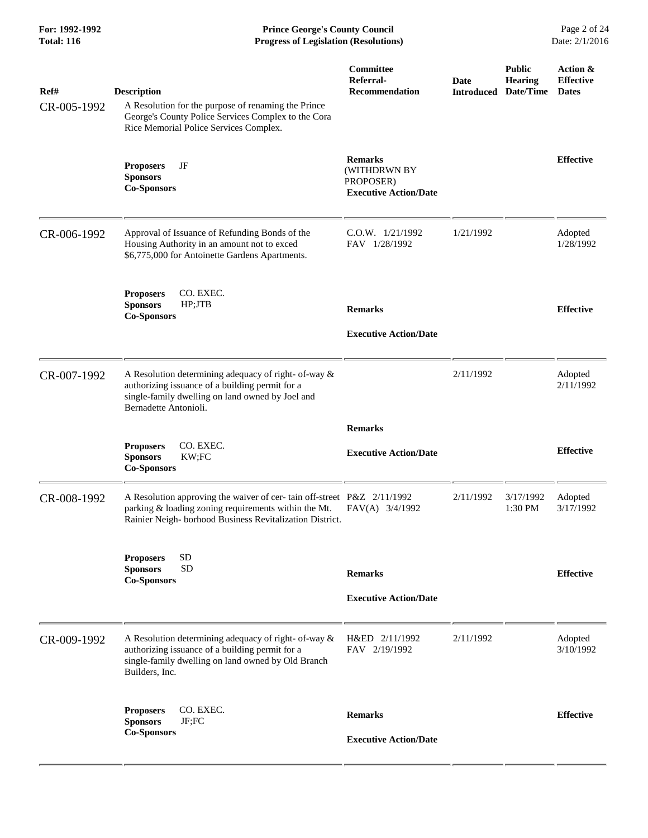**For: 1992-1992 Prince George's County Council** Page 2 of 24<br> **Progress of Legislation (Resolutions)** Date: 2/1/2016 **Total: 116 Progress of Legislation (Resolutions)** 

| Ref#<br>CR-005-1992 | <b>Description</b><br>A Resolution for the purpose of renaming the Prince<br>George's County Police Services Complex to the Cora<br>Rice Memorial Police Services Complex.                | Committee<br>Referral-<br><b>Recommendation</b>                             | Date<br><b>Introduced</b> | <b>Public</b><br>Hearing<br>Date/Time | Action &<br><b>Effective</b><br><b>Dates</b> |
|---------------------|-------------------------------------------------------------------------------------------------------------------------------------------------------------------------------------------|-----------------------------------------------------------------------------|---------------------------|---------------------------------------|----------------------------------------------|
|                     | JF<br><b>Proposers</b><br><b>Sponsors</b><br><b>Co-Sponsors</b>                                                                                                                           | <b>Remarks</b><br>(WITHDRWN BY<br>PROPOSER)<br><b>Executive Action/Date</b> |                           |                                       | <b>Effective</b>                             |
| CR-006-1992         | Approval of Issuance of Refunding Bonds of the<br>Housing Authority in an amount not to exced<br>\$6,775,000 for Antoinette Gardens Apartments.                                           | $C.0.W.$ $1/21/1992$<br>FAV 1/28/1992                                       | 1/21/1992                 |                                       | Adopted<br>1/28/1992                         |
|                     | <b>Proposers</b><br>CO. EXEC.<br>HP;JTB<br><b>Sponsors</b><br><b>Co-Sponsors</b>                                                                                                          | <b>Remarks</b><br><b>Executive Action/Date</b>                              |                           |                                       | <b>Effective</b>                             |
| CR-007-1992         | A Resolution determining adequacy of right- of-way &<br>authorizing issuance of a building permit for a<br>single-family dwelling on land owned by Joel and<br>Bernadette Antonioli.      |                                                                             | 2/11/1992                 |                                       | Adopted<br>2/11/1992                         |
|                     | CO. EXEC.<br><b>Proposers</b><br>KW;FC<br><b>Sponsors</b><br><b>Co-Sponsors</b>                                                                                                           | <b>Remarks</b><br><b>Executive Action/Date</b>                              |                           |                                       | <b>Effective</b>                             |
| CR-008-1992         | A Resolution approving the waiver of cer-tain off-street P&Z 2/11/1992<br>parking & loading zoning requirements within the Mt.<br>Rainier Neigh-borhood Business Revitalization District. | FAV(A) 3/4/1992                                                             | 2/11/1992                 | 3/17/1992<br>1:30 PM                  | Adopted<br>3/17/1992                         |
|                     | <b>SD</b><br><b>Proposers</b><br><b>SD</b><br><b>Sponsors</b><br><b>Co-Sponsors</b>                                                                                                       | <b>Remarks</b><br><b>Executive Action/Date</b>                              |                           |                                       | <b>Effective</b>                             |
| CR-009-1992         | A Resolution determining adequacy of right- of-way &<br>authorizing issuance of a building permit for a<br>single-family dwelling on land owned by Old Branch<br>Builders, Inc.           | H&ED 2/11/1992<br>FAV 2/19/1992                                             | 2/11/1992                 |                                       | Adopted<br>3/10/1992                         |
|                     | CO. EXEC.<br><b>Proposers</b><br><b>Sponsors</b><br>JF;FC<br><b>Co-Sponsors</b>                                                                                                           | <b>Remarks</b><br><b>Executive Action/Date</b>                              |                           |                                       | <b>Effective</b>                             |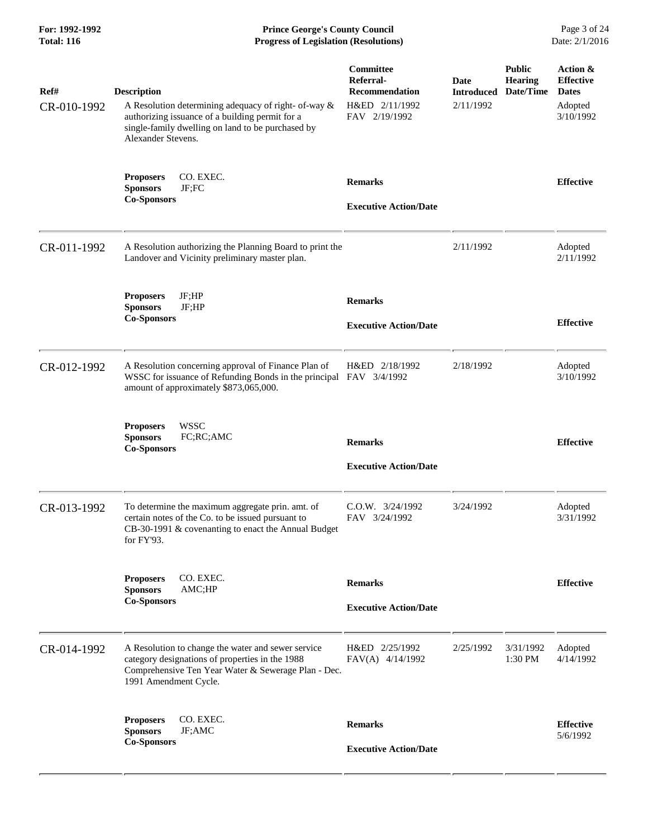**For: 1992-1992 Prince George's County Council** Page 3 of 24<br>**Progress of Legislation (Resolutions)** Date: 2/1/2016 **Total: 116 Progress of Legislation (Resolutions)** 

| Ref#<br>CR-010-1992 | <b>Description</b><br>A Resolution determining adequacy of right- of-way &<br>authorizing issuance of a building permit for a<br>single-family dwelling on land to be purchased by<br>Alexander Stevens. | Committee<br>Referral-<br>Recommendation<br>H&ED 2/11/1992<br>FAV 2/19/1992 | <b>Date</b><br><b>Introduced</b><br>2/11/1992 | <b>Public</b><br><b>Hearing</b><br>Date/Time | Action &<br><b>Effective</b><br><b>Dates</b><br>Adopted<br>3/10/1992 |
|---------------------|----------------------------------------------------------------------------------------------------------------------------------------------------------------------------------------------------------|-----------------------------------------------------------------------------|-----------------------------------------------|----------------------------------------------|----------------------------------------------------------------------|
|                     | CO. EXEC.<br><b>Proposers</b><br><b>Sponsors</b><br>JF;FC<br><b>Co-Sponsors</b>                                                                                                                          | <b>Remarks</b><br><b>Executive Action/Date</b>                              |                                               |                                              | <b>Effective</b>                                                     |
| CR-011-1992         | A Resolution authorizing the Planning Board to print the<br>Landover and Vicinity preliminary master plan.                                                                                               |                                                                             | 2/11/1992                                     |                                              | Adopted<br>2/11/1992                                                 |
|                     | JF;HP<br><b>Proposers</b><br><b>Sponsors</b><br>JF;HP<br><b>Co-Sponsors</b>                                                                                                                              | <b>Remarks</b><br><b>Executive Action/Date</b>                              |                                               |                                              | <b>Effective</b>                                                     |
| CR-012-1992         | A Resolution concerning approval of Finance Plan of<br>WSSC for issuance of Refunding Bonds in the principal FAV 3/4/1992<br>amount of approximately \$873,065,000.                                      | H&ED 2/18/1992                                                              | 2/18/1992                                     |                                              | Adopted<br>3/10/1992                                                 |
|                     | <b>WSSC</b><br><b>Proposers</b><br><b>Sponsors</b><br>FC;RC;AMC<br><b>Co-Sponsors</b>                                                                                                                    | <b>Remarks</b><br><b>Executive Action/Date</b>                              |                                               |                                              | <b>Effective</b>                                                     |
| CR-013-1992         | To determine the maximum aggregate prin. amt. of<br>certain notes of the Co. to be issued pursuant to<br>CB-30-1991 & covenanting to enact the Annual Budget<br>for FY'93.                               | C.O.W. 3/24/1992<br>FAV 3/24/1992                                           | 3/24/1992                                     |                                              | Adopted<br>3/31/1992                                                 |
|                     | CO. EXEC.<br><b>Proposers</b><br>AMC;HP<br><b>Sponsors</b><br><b>Co-Sponsors</b>                                                                                                                         | <b>Remarks</b><br><b>Executive Action/Date</b>                              |                                               |                                              | <b>Effective</b>                                                     |
| CR-014-1992         | A Resolution to change the water and sewer service<br>category designations of properties in the 1988<br>Comprehensive Ten Year Water & Sewerage Plan - Dec.<br>1991 Amendment Cycle.                    | H&ED 2/25/1992<br>FAV(A) 4/14/1992                                          | 2/25/1992                                     | 3/31/1992<br>1:30 PM                         | Adopted<br>4/14/1992                                                 |
|                     | CO. EXEC.<br><b>Proposers</b><br><b>Sponsors</b><br>JF;AMC<br><b>Co-Sponsors</b>                                                                                                                         | <b>Remarks</b><br><b>Executive Action/Date</b>                              |                                               |                                              | <b>Effective</b><br>5/6/1992                                         |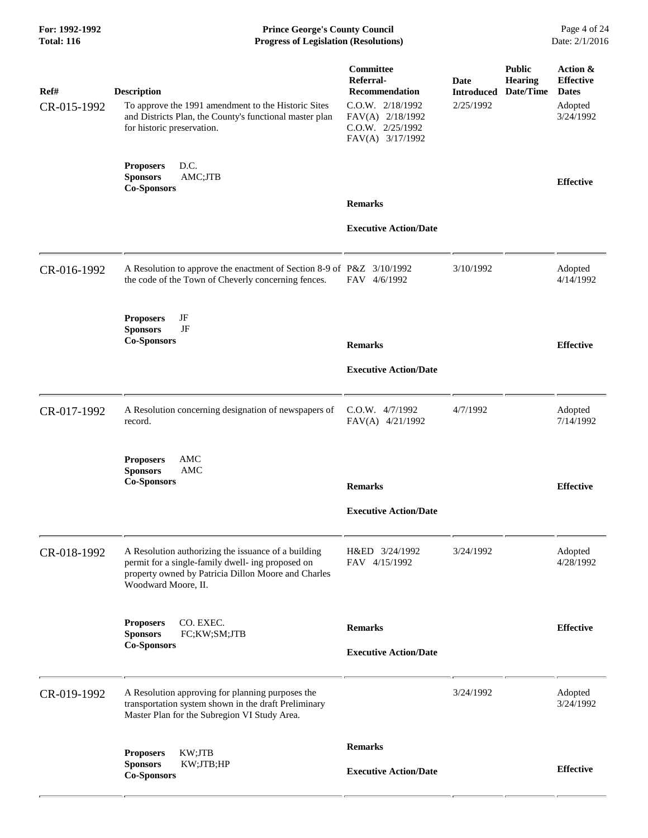**For: 1992-1992 Prince George's County Council** Page 4 of 24<br> **Prince George's County Council** Page 4 of 24<br> **Progress of Legislation (Resolutions)** Date: 2/1/2016 **Total: 116 Progress of Legislation (Resolutions)** 

| Ref#<br>CR-015-1992 | <b>Description</b><br>To approve the 1991 amendment to the Historic Sites<br>and Districts Plan, the County's functional master plan<br>for historic preservation.                     | Committee<br>Referral-<br>Recommendation<br>C.O.W. 2/18/1992<br>FAV(A) 2/18/1992<br>$C.0.W.$ $2/25/1992$<br>FAV(A) 3/17/1992 | Date<br><b>Introduced</b><br>2/25/1992 | <b>Public</b><br><b>Hearing</b><br>Date/Time | Action &<br><b>Effective</b><br><b>Dates</b><br>Adopted<br>3/24/1992 |
|---------------------|----------------------------------------------------------------------------------------------------------------------------------------------------------------------------------------|------------------------------------------------------------------------------------------------------------------------------|----------------------------------------|----------------------------------------------|----------------------------------------------------------------------|
|                     | D.C.<br><b>Proposers</b><br>AMC;JTB<br><b>Sponsors</b><br><b>Co-Sponsors</b>                                                                                                           |                                                                                                                              |                                        |                                              | <b>Effective</b>                                                     |
|                     |                                                                                                                                                                                        | <b>Remarks</b>                                                                                                               |                                        |                                              |                                                                      |
|                     |                                                                                                                                                                                        | <b>Executive Action/Date</b>                                                                                                 |                                        |                                              |                                                                      |
| CR-016-1992         | A Resolution to approve the enactment of Section 8-9 of P&Z 3/10/1992<br>the code of the Town of Cheverly concerning fences.                                                           | FAV 4/6/1992                                                                                                                 | 3/10/1992                              |                                              | Adopted<br>4/14/1992                                                 |
|                     | JF<br><b>Proposers</b><br>JF<br><b>Sponsors</b>                                                                                                                                        |                                                                                                                              |                                        |                                              |                                                                      |
|                     | <b>Co-Sponsors</b>                                                                                                                                                                     | <b>Remarks</b>                                                                                                               |                                        |                                              | <b>Effective</b>                                                     |
|                     |                                                                                                                                                                                        | <b>Executive Action/Date</b>                                                                                                 |                                        |                                              |                                                                      |
| CR-017-1992         | A Resolution concerning designation of newspapers of<br>record.                                                                                                                        | C.O.W. 4/7/1992<br>FAV(A) 4/21/1992                                                                                          | 4/7/1992                               |                                              | Adopted<br>7/14/1992                                                 |
|                     | AMC<br><b>Proposers</b><br><b>Sponsors</b><br>AMC<br><b>Co-Sponsors</b>                                                                                                                | <b>Remarks</b>                                                                                                               |                                        |                                              | <b>Effective</b>                                                     |
|                     |                                                                                                                                                                                        | <b>Executive Action/Date</b>                                                                                                 |                                        |                                              |                                                                      |
| CR-018-1992         | A Resolution authorizing the issuance of a building<br>permit for a single-family dwell- ing proposed on<br>property owned by Patricia Dillon Moore and Charles<br>Woodward Moore, II. | H&ED 3/24/1992<br>FAV 4/15/1992                                                                                              | 3/24/1992                              |                                              | Adopted<br>4/28/1992                                                 |
|                     | CO. EXEC.<br><b>Proposers</b><br>FC;KW;SM;JTB<br><b>Sponsors</b>                                                                                                                       | <b>Remarks</b>                                                                                                               |                                        |                                              | <b>Effective</b>                                                     |
|                     | <b>Co-Sponsors</b>                                                                                                                                                                     | <b>Executive Action/Date</b>                                                                                                 |                                        |                                              |                                                                      |
| CR-019-1992         | A Resolution approving for planning purposes the<br>transportation system shown in the draft Preliminary<br>Master Plan for the Subregion VI Study Area.                               |                                                                                                                              | 3/24/1992                              |                                              | Adopted<br>3/24/1992                                                 |
|                     | KW;JTB<br><b>Proposers</b>                                                                                                                                                             | <b>Remarks</b>                                                                                                               |                                        |                                              |                                                                      |
|                     | KW;JTB;HP<br><b>Sponsors</b><br><b>Co-Sponsors</b>                                                                                                                                     | <b>Executive Action/Date</b>                                                                                                 |                                        |                                              | <b>Effective</b>                                                     |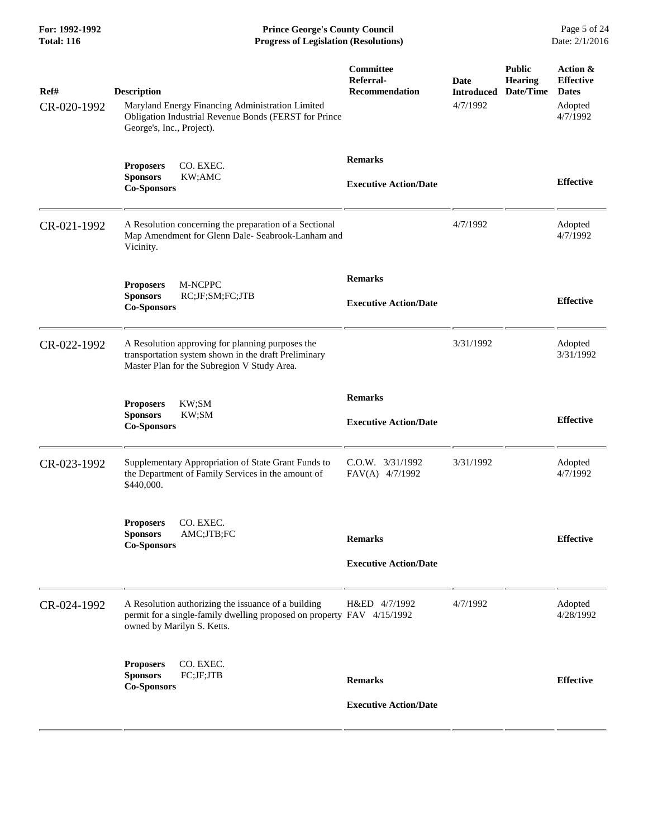**For: 1992-1992 Prince George's County Council** Page 5 of 24<br> **Progress of Legislation (Resolutions)** Date: 2/1/2016 **Total: 116 Progress of Legislation (Resolutions)** 

| Ref#<br>CR-020-1992 | <b>Description</b><br>Maryland Energy Financing Administration Limited<br>Obligation Industrial Revenue Bonds (FERST for Prince<br>George's, Inc., Project). | Committee<br>Referral-<br><b>Recommendation</b> | <b>Date</b><br><b>Introduced</b><br>4/7/1992 | <b>Public</b><br>Hearing<br>Date/Time | Action &<br><b>Effective</b><br><b>Dates</b><br>Adopted<br>4/7/1992 |
|---------------------|--------------------------------------------------------------------------------------------------------------------------------------------------------------|-------------------------------------------------|----------------------------------------------|---------------------------------------|---------------------------------------------------------------------|
|                     | CO. EXEC.<br><b>Proposers</b><br>KW;AMC<br><b>Sponsors</b><br><b>Co-Sponsors</b>                                                                             | <b>Remarks</b><br><b>Executive Action/Date</b>  |                                              |                                       | <b>Effective</b>                                                    |
| CR-021-1992         | A Resolution concerning the preparation of a Sectional<br>Map Amendment for Glenn Dale- Seabrook-Lanham and<br>Vicinity.                                     |                                                 | 4/7/1992                                     |                                       | Adopted<br>4/7/1992                                                 |
|                     | M-NCPPC<br><b>Proposers</b><br><b>Sponsors</b><br>RC;JF;SM;FC;JTB<br><b>Co-Sponsors</b>                                                                      | <b>Remarks</b><br><b>Executive Action/Date</b>  |                                              |                                       | <b>Effective</b>                                                    |
| CR-022-1992         | A Resolution approving for planning purposes the<br>transportation system shown in the draft Preliminary<br>Master Plan for the Subregion V Study Area.      |                                                 | 3/31/1992                                    |                                       | Adopted<br>3/31/1992                                                |
|                     | KW;SM<br><b>Proposers</b><br>KW;SM<br><b>Sponsors</b><br><b>Co-Sponsors</b>                                                                                  | <b>Remarks</b><br><b>Executive Action/Date</b>  |                                              |                                       | <b>Effective</b>                                                    |
| CR-023-1992         | Supplementary Appropriation of State Grant Funds to<br>the Department of Family Services in the amount of<br>\$440,000.                                      | $C.0.W.$ $3/31/1992$<br>FAV(A) 4/7/1992         | 3/31/1992                                    |                                       | Adopted<br>4/7/1992                                                 |
|                     | CO. EXEC.<br><b>Proposers</b><br><b>Sponsors</b><br>AMC;JTB;FC<br><b>Co-Sponsors</b>                                                                         | <b>Remarks</b><br><b>Executive Action/Date</b>  |                                              |                                       | <b>Effective</b>                                                    |
| CR-024-1992         | A Resolution authorizing the issuance of a building<br>permit for a single-family dwelling proposed on property FAV 4/15/1992<br>owned by Marilyn S. Ketts.  | H&ED 4/7/1992                                   | 4/7/1992                                     |                                       | Adopted<br>4/28/1992                                                |
|                     | CO. EXEC.<br><b>Proposers</b><br>FC;JF;JTB<br><b>Sponsors</b><br><b>Co-Sponsors</b>                                                                          | <b>Remarks</b><br><b>Executive Action/Date</b>  |                                              |                                       | <b>Effective</b>                                                    |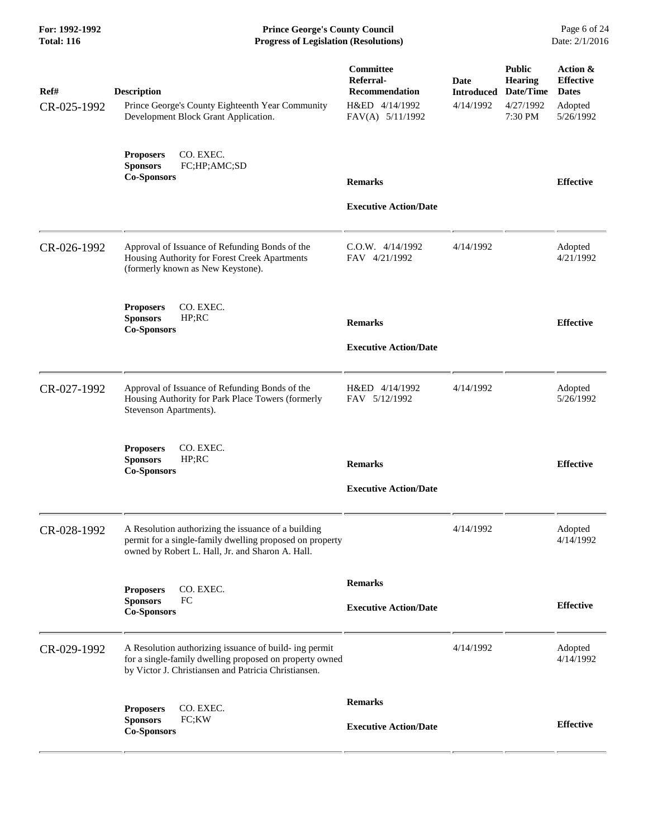**For: 1992-1992 Prince George's County Council** Page 6 of 24<br> **Progress of Legislation (Resolutions)** Date: 2/1/2016 **Total: 116 Progress of Legislation (Resolutions)** 

| Ref#<br>CR-025-1992 | <b>Description</b><br>Prince George's County Eighteenth Year Community<br>Development Block Grant Application.                                                            | Committee<br>Referral-<br><b>Recommendation</b><br>H&ED 4/14/1992<br>FAV(A) 5/11/1992 | Date<br><b>Introduced</b><br>4/14/1992 | <b>Public</b><br><b>Hearing</b><br>Date/Time<br>4/27/1992<br>7:30 PM | Action &<br><b>Effective</b><br><b>Dates</b><br>Adopted<br>5/26/1992 |
|---------------------|---------------------------------------------------------------------------------------------------------------------------------------------------------------------------|---------------------------------------------------------------------------------------|----------------------------------------|----------------------------------------------------------------------|----------------------------------------------------------------------|
|                     | CO. EXEC.<br><b>Proposers</b><br><b>Sponsors</b><br>FC;HP;AMC;SD<br><b>Co-Sponsors</b>                                                                                    | <b>Remarks</b><br><b>Executive Action/Date</b>                                        |                                        |                                                                      | <b>Effective</b>                                                     |
| CR-026-1992         | Approval of Issuance of Refunding Bonds of the<br>Housing Authority for Forest Creek Apartments<br>(formerly known as New Keystone).                                      | C.O.W. 4/14/1992<br>FAV 4/21/1992                                                     | 4/14/1992                              |                                                                      | Adopted<br>4/21/1992                                                 |
|                     | CO. EXEC.<br><b>Proposers</b><br><b>Sponsors</b><br>HP;RC<br><b>Co-Sponsors</b>                                                                                           | <b>Remarks</b><br><b>Executive Action/Date</b>                                        |                                        |                                                                      | <b>Effective</b>                                                     |
| CR-027-1992         | Approval of Issuance of Refunding Bonds of the<br>Housing Authority for Park Place Towers (formerly<br>Stevenson Apartments).                                             | H&ED 4/14/1992<br>FAV 5/12/1992                                                       | 4/14/1992                              |                                                                      | Adopted<br>5/26/1992                                                 |
|                     | <b>Proposers</b><br>CO. EXEC.<br><b>Sponsors</b><br>HP;RC<br><b>Co-Sponsors</b>                                                                                           | <b>Remarks</b><br><b>Executive Action/Date</b>                                        |                                        |                                                                      | <b>Effective</b>                                                     |
| CR-028-1992         | A Resolution authorizing the issuance of a building<br>permit for a single-family dwelling proposed on property<br>owned by Robert L. Hall, Jr. and Sharon A. Hall.       |                                                                                       | 4/14/1992                              |                                                                      | Adopted<br>4/14/1992                                                 |
|                     | CO. EXEC.<br><b>Proposers</b><br>FC<br><b>Sponsors</b><br><b>Co-Sponsors</b>                                                                                              | <b>Remarks</b><br><b>Executive Action/Date</b>                                        |                                        |                                                                      | <b>Effective</b>                                                     |
| CR-029-1992         | A Resolution authorizing issuance of build- ing permit<br>for a single-family dwelling proposed on property owned<br>by Victor J. Christiansen and Patricia Christiansen. |                                                                                       | 4/14/1992                              |                                                                      | Adopted<br>4/14/1992                                                 |
|                     | <b>Proposers</b><br>CO. EXEC.<br><b>Sponsors</b><br>FC;KW<br><b>Co-Sponsors</b>                                                                                           | <b>Remarks</b><br><b>Executive Action/Date</b>                                        |                                        |                                                                      | <b>Effective</b>                                                     |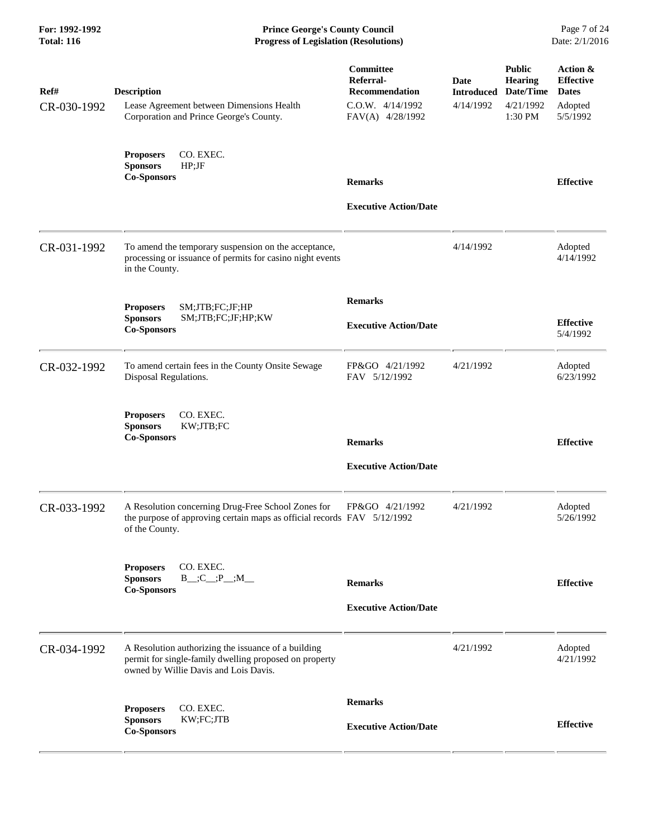**For: 1992-1992 Prince George's County Council** Page 7 of 24<br> **Progress of Legislation (Resolutions)** Date: 2/1/2016 **Total: 116 Progress of Legislation (Resolutions)** 

| Ref#<br>CR-030-1992 | <b>Description</b><br>Lease Agreement between Dimensions Health<br>Corporation and Prince George's County.                                             | Committee<br>Referral-<br><b>Recommendation</b><br>C.O.W. 4/14/1992<br>FAV(A) 4/28/1992 | <b>Date</b><br><b>Introduced</b><br>4/14/1992 | <b>Public</b><br><b>Hearing</b><br>Date/Time<br>4/21/1992<br>1:30 PM | Action &<br><b>Effective</b><br><b>Dates</b><br>Adopted<br>5/5/1992 |
|---------------------|--------------------------------------------------------------------------------------------------------------------------------------------------------|-----------------------------------------------------------------------------------------|-----------------------------------------------|----------------------------------------------------------------------|---------------------------------------------------------------------|
|                     | CO. EXEC.<br><b>Proposers</b><br><b>Sponsors</b><br>HP; JF<br><b>Co-Sponsors</b>                                                                       | <b>Remarks</b>                                                                          |                                               |                                                                      | <b>Effective</b>                                                    |
|                     |                                                                                                                                                        | <b>Executive Action/Date</b>                                                            |                                               |                                                                      |                                                                     |
| CR-031-1992         | To amend the temporary suspension on the acceptance,<br>processing or issuance of permits for casino night events<br>in the County.                    |                                                                                         | 4/14/1992                                     |                                                                      | Adopted<br>4/14/1992                                                |
|                     | SM;JTB;FC;JF;HP<br><b>Proposers</b>                                                                                                                    | <b>Remarks</b>                                                                          |                                               |                                                                      |                                                                     |
|                     | <b>Sponsors</b><br>SM;JTB;FC;JF;HP;KW<br><b>Co-Sponsors</b>                                                                                            | <b>Executive Action/Date</b>                                                            |                                               |                                                                      | <b>Effective</b><br>5/4/1992                                        |
| CR-032-1992         | To amend certain fees in the County Onsite Sewage<br>Disposal Regulations.                                                                             | FP&GO 4/21/1992<br>FAV 5/12/1992                                                        | 4/21/1992                                     |                                                                      | Adopted<br>6/23/1992                                                |
|                     | CO. EXEC.<br><b>Proposers</b><br><b>Sponsors</b><br>KW;JTB;FC<br><b>Co-Sponsors</b>                                                                    | <b>Remarks</b>                                                                          |                                               |                                                                      | <b>Effective</b>                                                    |
|                     |                                                                                                                                                        | <b>Executive Action/Date</b>                                                            |                                               |                                                                      |                                                                     |
| CR-033-1992         | A Resolution concerning Drug-Free School Zones for<br>the purpose of approving certain maps as official records FAV 5/12/1992<br>of the County.        | FP&GO 4/21/1992                                                                         | 4/21/1992                                     |                                                                      | Adopted<br>5/26/1992                                                |
|                     | CO. EXEC.<br><b>Proposers</b><br>$B$ <sub>,.</sub> ;C <sub>,.</sub> ;P <sub>,.</sub> ;M <sub>,</sub><br><b>Sponsors</b><br><b>Co-Sponsors</b>          | <b>Remarks</b>                                                                          |                                               |                                                                      | <b>Effective</b>                                                    |
|                     |                                                                                                                                                        | <b>Executive Action/Date</b>                                                            |                                               |                                                                      |                                                                     |
| CR-034-1992         | A Resolution authorizing the issuance of a building<br>permit for single-family dwelling proposed on property<br>owned by Willie Davis and Lois Davis. |                                                                                         | 4/21/1992                                     |                                                                      | Adopted<br>4/21/1992                                                |
|                     | CO. EXEC.<br><b>Proposers</b>                                                                                                                          | <b>Remarks</b>                                                                          |                                               |                                                                      |                                                                     |
|                     | KW;FC;JTB<br><b>Sponsors</b><br><b>Co-Sponsors</b>                                                                                                     | <b>Executive Action/Date</b>                                                            |                                               |                                                                      | <b>Effective</b>                                                    |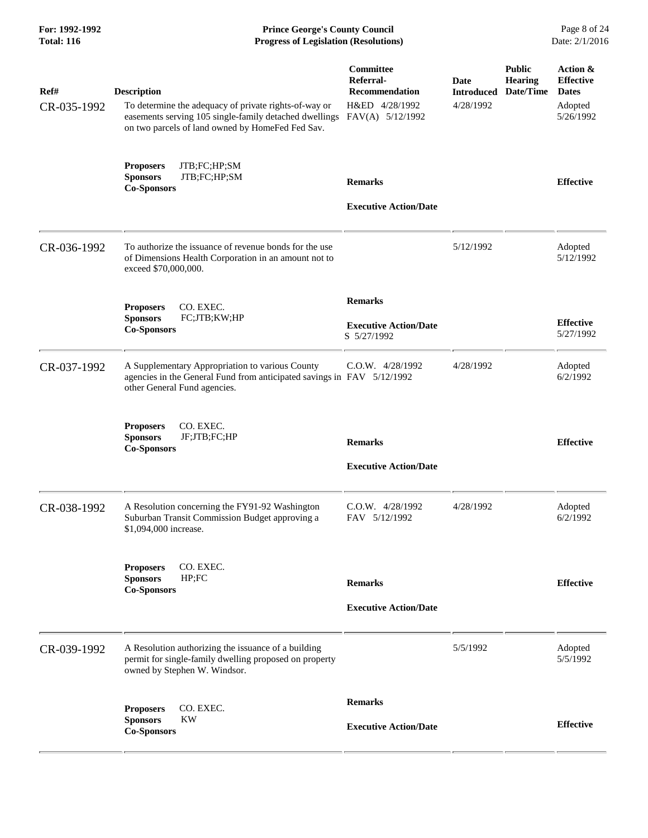| For: 1992-1992<br><b>Total: 116</b> | <b>Prince George's County Council</b><br>Date: 2/1/2016<br><b>Progress of Legislation (Resolutions)</b>                                                                                   |                                                                                       |                                               |                                              |                                                                      |
|-------------------------------------|-------------------------------------------------------------------------------------------------------------------------------------------------------------------------------------------|---------------------------------------------------------------------------------------|-----------------------------------------------|----------------------------------------------|----------------------------------------------------------------------|
| Ref#<br>CR-035-1992                 | <b>Description</b><br>To determine the adequacy of private rights-of-way or<br>easements serving 105 single-family detached dwellings<br>on two parcels of land owned by HomeFed Fed Sav. | Committee<br>Referral-<br><b>Recommendation</b><br>H&ED 4/28/1992<br>FAV(A) 5/12/1992 | <b>Date</b><br><b>Introduced</b><br>4/28/1992 | <b>Public</b><br><b>Hearing</b><br>Date/Time | Action &<br><b>Effective</b><br><b>Dates</b><br>Adopted<br>5/26/1992 |
|                                     | JTB;FC;HP;SM<br><b>Proposers</b><br><b>Sponsors</b><br>JTB;FC;HP;SM<br><b>Co-Sponsors</b>                                                                                                 | <b>Remarks</b><br><b>Executive Action/Date</b>                                        |                                               |                                              | <b>Effective</b>                                                     |
| CR-036-1992                         | To authorize the issuance of revenue bonds for the use<br>of Dimensions Health Corporation in an amount not to<br>exceed \$70,000,000.                                                    |                                                                                       | 5/12/1992                                     |                                              | Adopted<br>5/12/1992                                                 |
|                                     | CO. EXEC.<br><b>Proposers</b><br><b>Sponsors</b><br>FC;JTB;KW;HP<br><b>Co-Sponsors</b>                                                                                                    | <b>Remarks</b><br><b>Executive Action/Date</b><br>S 5/27/1992                         |                                               |                                              | <b>Effective</b><br>5/27/1992                                        |
| CR-037-1992                         | A Supplementary Appropriation to various County<br>agencies in the General Fund from anticipated savings in FAV 5/12/1992<br>other General Fund agencies.                                 | C.O.W. 4/28/1992                                                                      | 4/28/1992                                     |                                              | Adopted<br>6/2/1992                                                  |
|                                     | <b>Proposers</b><br>CO. EXEC.<br><b>Sponsors</b><br>JF;JTB;FC;HP<br><b>Co-Sponsors</b>                                                                                                    | <b>Remarks</b><br><b>Executive Action/Date</b>                                        |                                               |                                              | <b>Effective</b>                                                     |
| CR-038-1992                         | A Resolution concerning the FY91-92 Washington<br>Suburban Transit Commission Budget approving a<br>\$1,094,000 increase.                                                                 | $C.0.W.$ 4/28/1992<br>FAV 5/12/1992                                                   | 4/28/1992                                     |                                              | Adopted<br>6/2/1992                                                  |
|                                     | CO. EXEC.<br><b>Proposers</b><br><b>Sponsors</b><br>HP;FC<br><b>Co-Sponsors</b>                                                                                                           | <b>Remarks</b><br><b>Executive Action/Date</b>                                        |                                               |                                              | <b>Effective</b>                                                     |
| CR-039-1992                         | A Resolution authorizing the issuance of a building<br>permit for single-family dwelling proposed on property<br>owned by Stephen W. Windsor.                                             |                                                                                       | 5/5/1992                                      |                                              | Adopted<br>5/5/1992                                                  |
|                                     | CO. EXEC.<br><b>Proposers</b><br><b>KW</b><br><b>Sponsors</b><br><b>Co-Sponsors</b>                                                                                                       | <b>Remarks</b><br><b>Executive Action/Date</b>                                        |                                               |                                              | <b>Effective</b>                                                     |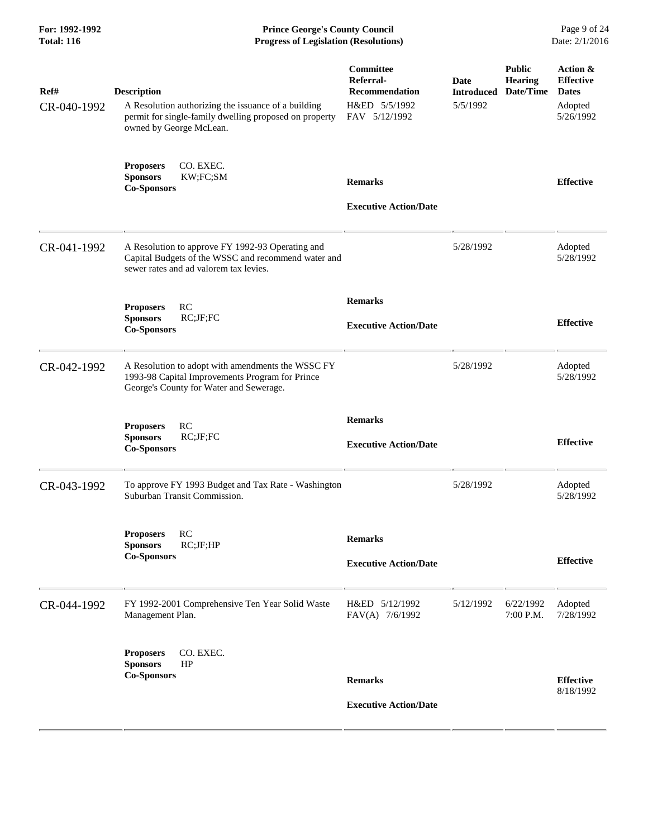| For: 1992-1992<br><b>Total: 116</b> | <b>Prince George's County Council</b><br>Date: 2/1/2016<br><b>Progress of Legislation (Resolutions)</b>                                                        |                                                                                   |                                       |                                              |                                                                      |
|-------------------------------------|----------------------------------------------------------------------------------------------------------------------------------------------------------------|-----------------------------------------------------------------------------------|---------------------------------------|----------------------------------------------|----------------------------------------------------------------------|
| Ref#<br>CR-040-1992                 | <b>Description</b><br>A Resolution authorizing the issuance of a building<br>permit for single-family dwelling proposed on property<br>owned by George McLean. | Committee<br>Referral-<br><b>Recommendation</b><br>H&ED 5/5/1992<br>FAV 5/12/1992 | Date<br><b>Introduced</b><br>5/5/1992 | <b>Public</b><br><b>Hearing</b><br>Date/Time | Action &<br><b>Effective</b><br><b>Dates</b><br>Adopted<br>5/26/1992 |
|                                     | <b>Proposers</b><br>CO. EXEC.<br>KW;FC;SM<br><b>Sponsors</b><br><b>Co-Sponsors</b>                                                                             | <b>Remarks</b><br><b>Executive Action/Date</b>                                    |                                       |                                              | <b>Effective</b>                                                     |
| CR-041-1992                         | A Resolution to approve FY 1992-93 Operating and<br>Capital Budgets of the WSSC and recommend water and<br>sewer rates and ad valorem tax levies.              |                                                                                   | 5/28/1992                             |                                              | Adopted<br>5/28/1992                                                 |
|                                     | RC<br><b>Proposers</b><br><b>Sponsors</b><br>RC;JF;FC<br><b>Co-Sponsors</b>                                                                                    | <b>Remarks</b><br><b>Executive Action/Date</b>                                    |                                       |                                              | <b>Effective</b>                                                     |
| CR-042-1992                         | A Resolution to adopt with amendments the WSSC FY<br>1993-98 Capital Improvements Program for Prince<br>George's County for Water and Sewerage.                |                                                                                   | 5/28/1992                             |                                              | Adopted<br>5/28/1992                                                 |
|                                     | RC<br><b>Proposers</b><br>RC;JF;FC<br><b>Sponsors</b><br><b>Co-Sponsors</b>                                                                                    | <b>Remarks</b><br><b>Executive Action/Date</b>                                    |                                       |                                              | <b>Effective</b>                                                     |
| CR-043-1992                         | To approve FY 1993 Budget and Tax Rate - Washington<br>Suburban Transit Commission.                                                                            |                                                                                   | 5/28/1992                             |                                              | Adopted<br>5/28/1992                                                 |
|                                     | RC<br><b>Proposers</b><br><b>Sponsors</b><br>RC;JF;HP<br><b>Co-Sponsors</b>                                                                                    | <b>Remarks</b><br><b>Executive Action/Date</b>                                    |                                       |                                              | <b>Effective</b>                                                     |
| CR-044-1992                         | FY 1992-2001 Comprehensive Ten Year Solid Waste<br>Management Plan.                                                                                            | H&ED 5/12/1992<br>FAV(A) 7/6/1992                                                 | 5/12/1992                             | 6/22/1992<br>7:00 P.M.                       | Adopted<br>7/28/1992                                                 |
|                                     | CO. EXEC.<br><b>Proposers</b><br>HP<br><b>Sponsors</b><br><b>Co-Sponsors</b>                                                                                   | <b>Remarks</b><br><b>Executive Action/Date</b>                                    |                                       |                                              | <b>Effective</b><br>8/18/1992                                        |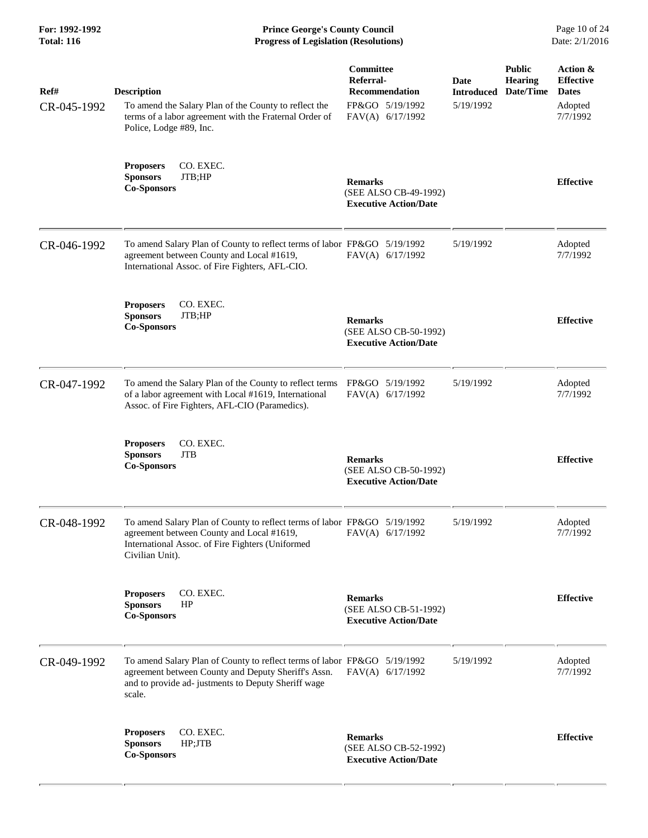**For: 1992-1992 Prince George's County Council** Page 10 of 24<br> **Progress of Legislation (Resolutions)** Date: 2/1/2016 **Total: 116 Progress of Legislation (Resolutions)** 

| Ref#        | <b>Description</b>                                                                                                                                                                               | Committee<br>Referral-<br><b>Recommendation</b>                         | <b>Date</b><br><b>Introduced</b> | <b>Public</b><br><b>Hearing</b><br>Date/Time | Action &<br><b>Effective</b><br><b>Dates</b> |
|-------------|--------------------------------------------------------------------------------------------------------------------------------------------------------------------------------------------------|-------------------------------------------------------------------------|----------------------------------|----------------------------------------------|----------------------------------------------|
| CR-045-1992 | To amend the Salary Plan of the County to reflect the<br>terms of a labor agreement with the Fraternal Order of<br>Police, Lodge #89, Inc.                                                       | FP&GO 5/19/1992<br>FAV(A) 6/17/1992                                     | 5/19/1992                        |                                              | Adopted<br>7/7/1992                          |
|             | CO. EXEC.<br><b>Proposers</b><br><b>Sponsors</b><br>JTB;HP<br><b>Co-Sponsors</b>                                                                                                                 | <b>Remarks</b><br>(SEE ALSO CB-49-1992)<br><b>Executive Action/Date</b> |                                  |                                              | <b>Effective</b>                             |
| CR-046-1992 | To amend Salary Plan of County to reflect terms of labor FP&GO 5/19/1992<br>agreement between County and Local #1619,<br>International Assoc. of Fire Fighters, AFL-CIO.                         | FAV(A) 6/17/1992                                                        | 5/19/1992                        |                                              | Adopted<br>7/7/1992                          |
|             | CO. EXEC.<br><b>Proposers</b><br><b>Sponsors</b><br>JTB;HP<br><b>Co-Sponsors</b>                                                                                                                 | <b>Remarks</b><br>(SEE ALSO CB-50-1992)<br><b>Executive Action/Date</b> |                                  |                                              | <b>Effective</b>                             |
| CR-047-1992 | To amend the Salary Plan of the County to reflect terms<br>of a labor agreement with Local #1619, International<br>Assoc. of Fire Fighters, AFL-CIO (Paramedics).                                | FP&GO 5/19/1992<br>FAV(A) 6/17/1992                                     | 5/19/1992                        |                                              | Adopted<br>7/7/1992                          |
|             | CO. EXEC.<br><b>Proposers</b><br><b>Sponsors</b><br><b>JTB</b><br><b>Co-Sponsors</b>                                                                                                             | <b>Remarks</b><br>(SEE ALSO CB-50-1992)<br><b>Executive Action/Date</b> |                                  |                                              | <b>Effective</b>                             |
| CR-048-1992 | To amend Salary Plan of County to reflect terms of labor FP&GO 5/19/1992<br>agreement between County and Local #1619,<br>International Assoc. of Fire Fighters (Uniformed<br>Civilian Unit).     | FAV(A) 6/17/1992                                                        | 5/19/1992                        |                                              | Adopted<br>7/7/1992                          |
|             | CO. EXEC.<br><b>Proposers</b><br><b>Sponsors</b><br>HP<br><b>Co-Sponsors</b>                                                                                                                     | <b>Remarks</b><br>(SEE ALSO CB-51-1992)<br><b>Executive Action/Date</b> |                                  |                                              | <b>Effective</b>                             |
| CR-049-1992 | To amend Salary Plan of County to reflect terms of labor FP&GO 5/19/1992<br>agreement between County and Deputy Sheriff's Assn.<br>and to provide ad- justments to Deputy Sheriff wage<br>scale. | FAV(A) 6/17/1992                                                        | 5/19/1992                        |                                              | Adopted<br>7/7/1992                          |
|             | CO. EXEC.<br><b>Proposers</b><br><b>Sponsors</b><br>HP;JTB<br><b>Co-Sponsors</b>                                                                                                                 | <b>Remarks</b><br>(SEE ALSO CB-52-1992)<br><b>Executive Action/Date</b> |                                  |                                              | <b>Effective</b>                             |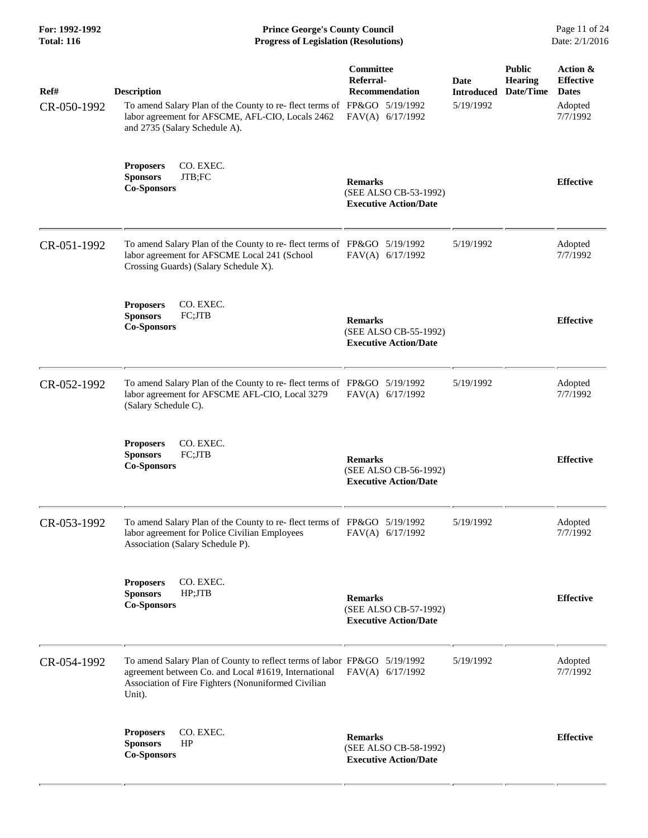**For: 1992-1992 Prince George's County Council** Page 11 of 24<br> **Progress of Legislation (Resolutions)** Date: 2/1/2016 **Total: 116 Progress of Legislation (Resolutions)** 

| Ref#<br>CR-050-1992 | <b>Description</b><br>To amend Salary Plan of the County to re- flect terms of FP&GO 5/19/1992<br>labor agreement for AFSCME, AFL-CIO, Locals 2462<br>and 2735 (Salary Schedule A).               | Committee<br>Referral-<br><b>Recommendation</b><br>FAV(A) 6/17/1992     | Date<br><b>Introduced</b><br>5/19/1992 | <b>Public</b><br><b>Hearing</b><br>Date/Time | Action &<br><b>Effective</b><br><b>Dates</b><br>Adopted<br>7/7/1992 |
|---------------------|---------------------------------------------------------------------------------------------------------------------------------------------------------------------------------------------------|-------------------------------------------------------------------------|----------------------------------------|----------------------------------------------|---------------------------------------------------------------------|
|                     | <b>Proposers</b><br>CO. EXEC.<br>JTB;FC<br><b>Sponsors</b><br><b>Co-Sponsors</b>                                                                                                                  | <b>Remarks</b><br>(SEE ALSO CB-53-1992)<br><b>Executive Action/Date</b> |                                        |                                              | <b>Effective</b>                                                    |
| CR-051-1992         | To amend Salary Plan of the County to re-flect terms of FP&GO 5/19/1992<br>labor agreement for AFSCME Local 241 (School<br>Crossing Guards) (Salary Schedule X).                                  | FAV(A) 6/17/1992                                                        | 5/19/1992                              |                                              | Adopted<br>7/7/1992                                                 |
|                     | CO. EXEC.<br><b>Proposers</b><br><b>Sponsors</b><br>FC;JTB<br><b>Co-Sponsors</b>                                                                                                                  | <b>Remarks</b><br>(SEE ALSO CB-55-1992)<br><b>Executive Action/Date</b> |                                        |                                              | <b>Effective</b>                                                    |
| CR-052-1992         | To amend Salary Plan of the County to re-flect terms of FP&GO 5/19/1992<br>labor agreement for AFSCME AFL-CIO, Local 3279<br>(Salary Schedule C).                                                 | FAV(A) 6/17/1992                                                        | 5/19/1992                              |                                              | Adopted<br>7/7/1992                                                 |
|                     | CO. EXEC.<br><b>Proposers</b><br><b>Sponsors</b><br>FC;JTB<br><b>Co-Sponsors</b>                                                                                                                  | <b>Remarks</b><br>(SEE ALSO CB-56-1992)<br><b>Executive Action/Date</b> |                                        |                                              | <b>Effective</b>                                                    |
| CR-053-1992         | To amend Salary Plan of the County to re-flect terms of FP&GO 5/19/1992<br>labor agreement for Police Civilian Employees<br>Association (Salary Schedule P).                                      | FAV(A) 6/17/1992                                                        | 5/19/1992                              |                                              | Adopted<br>7/7/1992                                                 |
|                     | CO. EXEC.<br><b>Proposers</b><br><b>Sponsors</b><br>HP;JTB<br><b>Co-Sponsors</b>                                                                                                                  | <b>Remarks</b><br>(SEE ALSO CB-57-1992)<br><b>Executive Action/Date</b> |                                        |                                              | <b>Effective</b>                                                    |
| CR-054-1992         | To amend Salary Plan of County to reflect terms of labor FP&GO 5/19/1992<br>agreement between Co. and Local #1619, International<br>Association of Fire Fighters (Nonuniformed Civilian<br>Unit). | $FAV(A)$ 6/17/1992                                                      | 5/19/1992                              |                                              | Adopted<br>7/7/1992                                                 |
|                     | CO. EXEC.<br><b>Proposers</b><br>HP<br><b>Sponsors</b><br><b>Co-Sponsors</b>                                                                                                                      | <b>Remarks</b><br>(SEE ALSO CB-58-1992)<br><b>Executive Action/Date</b> |                                        |                                              | <b>Effective</b>                                                    |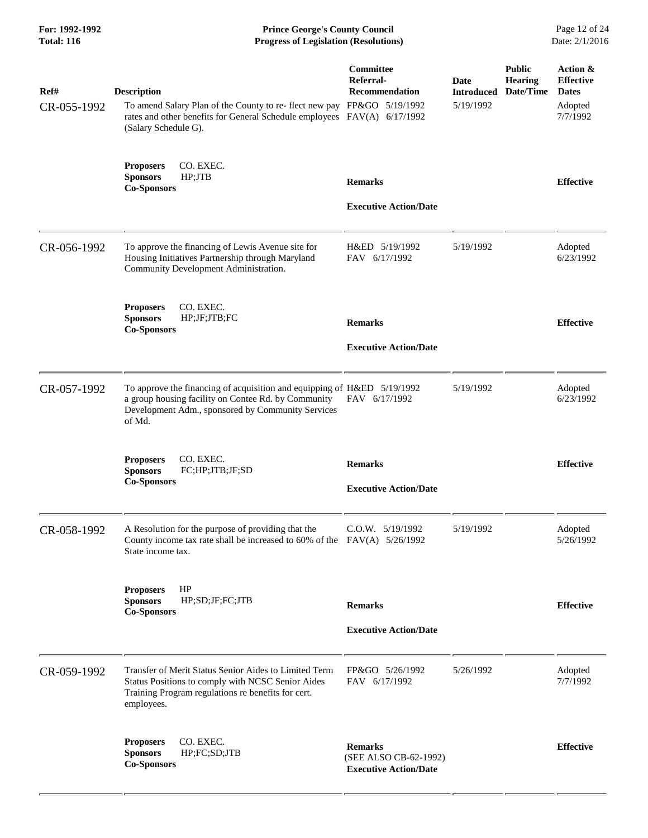| For: 1992-1992<br><b>Total: 116</b> | <b>Prince George's County Council</b><br>Page 12 of 24<br>Date: 2/1/2016<br><b>Progress of Legislation (Resolutions)</b>                                                                         |                                                                         |                                               |                                              |                                                                     |
|-------------------------------------|--------------------------------------------------------------------------------------------------------------------------------------------------------------------------------------------------|-------------------------------------------------------------------------|-----------------------------------------------|----------------------------------------------|---------------------------------------------------------------------|
| Ref#<br>CR-055-1992                 | <b>Description</b><br>To amend Salary Plan of the County to re-flect new pay FP&GO 5/19/1992<br>rates and other benefits for General Schedule employees FAV(A) 6/17/1992<br>(Salary Schedule G). | Committee<br>Referral-<br><b>Recommendation</b>                         | <b>Date</b><br><b>Introduced</b><br>5/19/1992 | <b>Public</b><br><b>Hearing</b><br>Date/Time | Action &<br><b>Effective</b><br><b>Dates</b><br>Adopted<br>7/7/1992 |
|                                     | <b>Proposers</b><br>CO. EXEC.<br><b>Sponsors</b><br>HP;JTB<br><b>Co-Sponsors</b>                                                                                                                 | <b>Remarks</b><br><b>Executive Action/Date</b>                          |                                               |                                              | <b>Effective</b>                                                    |
| CR-056-1992                         | To approve the financing of Lewis Avenue site for<br>Housing Initiatives Partnership through Maryland<br>Community Development Administration.                                                   | H&ED 5/19/1992<br>FAV 6/17/1992                                         | 5/19/1992                                     |                                              | Adopted<br>6/23/1992                                                |
|                                     | CO. EXEC.<br><b>Proposers</b><br><b>Sponsors</b><br>HP;JF;JTB;FC<br><b>Co-Sponsors</b>                                                                                                           | <b>Remarks</b><br><b>Executive Action/Date</b>                          |                                               |                                              | <b>Effective</b>                                                    |
| CR-057-1992                         | To approve the financing of acquisition and equipping of H&ED 5/19/1992<br>a group housing facility on Contee Rd. by Community<br>Development Adm., sponsored by Community Services<br>of Md.    | FAV 6/17/1992                                                           | 5/19/1992                                     |                                              | Adopted<br>6/23/1992                                                |
|                                     | CO. EXEC.<br><b>Proposers</b><br><b>Sponsors</b><br>FC;HP;JTB;JF;SD<br><b>Co-Sponsors</b>                                                                                                        | <b>Remarks</b><br><b>Executive Action/Date</b>                          |                                               |                                              | <b>Effective</b>                                                    |
| CR-058-1992                         | A Resolution for the purpose of providing that the<br>County income tax rate shall be increased to 60% of the $FAV(A)$ 5/26/1992<br>State income tax.                                            | $C.0.W.$ $5/19/1992$                                                    | 5/19/1992                                     |                                              | Adopted<br>5/26/1992                                                |
|                                     | HP<br><b>Proposers</b><br><b>Sponsors</b><br>HP;SD;JF;FC;JTB<br><b>Co-Sponsors</b>                                                                                                               | <b>Remarks</b><br><b>Executive Action/Date</b>                          |                                               |                                              | <b>Effective</b>                                                    |
| CR-059-1992                         | Transfer of Merit Status Senior Aides to Limited Term<br>Status Positions to comply with NCSC Senior Aides<br>Training Program regulations re benefits for cert.<br>employees.                   | FP&GO 5/26/1992<br>FAV 6/17/1992                                        | 5/26/1992                                     |                                              | Adopted<br>7/7/1992                                                 |
|                                     | CO. EXEC.<br><b>Proposers</b><br><b>Sponsors</b><br>HP;FC;SD;JTB<br><b>Co-Sponsors</b>                                                                                                           | <b>Remarks</b><br>(SEE ALSO CB-62-1992)<br><b>Executive Action/Date</b> |                                               |                                              | <b>Effective</b>                                                    |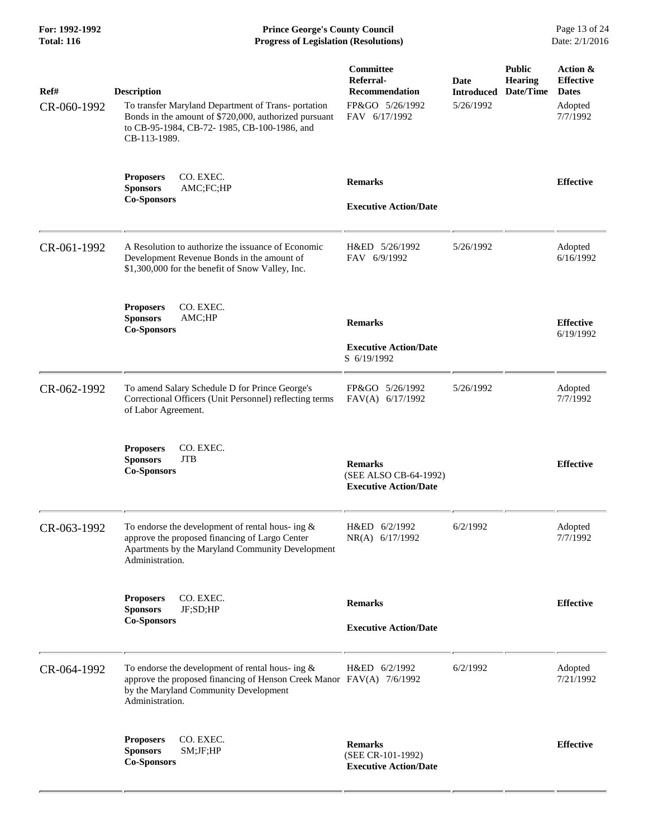**For: 1992-1992 Prince George's County Council** Page 13 of 24<br>**Progress of Legislation (Resolutions)** Date: 2/1/2016 **Total: 116 Progress of Legislation (Resolutions)** 

| Ref#        | <b>Description</b>                                                                                                                                                                                                                          | Committee<br>Referral-<br><b>Recommendation</b><br>FP&GO 5/26/1992      | Date<br><b>Introduced</b><br>5/26/1992 | <b>Public</b><br><b>Hearing</b><br>Date/Time | Action &<br><b>Effective</b><br><b>Dates</b> |
|-------------|---------------------------------------------------------------------------------------------------------------------------------------------------------------------------------------------------------------------------------------------|-------------------------------------------------------------------------|----------------------------------------|----------------------------------------------|----------------------------------------------|
| CR-060-1992 | To transfer Maryland Department of Trans-portation<br>Bonds in the amount of \$720,000, authorized pursuant<br>to CB-95-1984, CB-72-1985, CB-100-1986, and<br>CB-113-1989.<br><b>Proposers</b><br>CO. EXEC.<br><b>Sponsors</b><br>AMC;FC;HP | FAV 6/17/1992                                                           |                                        |                                              | Adopted<br>7/7/1992                          |
|             |                                                                                                                                                                                                                                             | <b>Remarks</b>                                                          |                                        |                                              | <b>Effective</b>                             |
|             | <b>Co-Sponsors</b>                                                                                                                                                                                                                          | <b>Executive Action/Date</b>                                            |                                        |                                              |                                              |
| CR-061-1992 | A Resolution to authorize the issuance of Economic<br>Development Revenue Bonds in the amount of<br>\$1,300,000 for the benefit of Snow Valley, Inc.                                                                                        | H&ED 5/26/1992<br>FAV 6/9/1992                                          | 5/26/1992                              |                                              | Adopted<br>6/16/1992                         |
|             | <b>Proposers</b><br>CO. EXEC.<br><b>Sponsors</b><br>AMC;HP<br><b>Co-Sponsors</b>                                                                                                                                                            | <b>Remarks</b>                                                          |                                        |                                              | <b>Effective</b>                             |
|             |                                                                                                                                                                                                                                             | <b>Executive Action/Date</b><br>S 6/19/1992                             |                                        |                                              | 6/19/1992                                    |
| CR-062-1992 | To amend Salary Schedule D for Prince George's<br>Correctional Officers (Unit Personnel) reflecting terms<br>of Labor Agreement.                                                                                                            | FP&GO 5/26/1992<br>FAV(A) 6/17/1992                                     | 5/26/1992                              |                                              | Adopted<br>7/7/1992                          |
|             | CO. EXEC.<br><b>Proposers</b><br><b>Sponsors</b><br><b>JTB</b><br><b>Co-Sponsors</b>                                                                                                                                                        | <b>Remarks</b><br>(SEE ALSO CB-64-1992)<br><b>Executive Action/Date</b> |                                        |                                              | <b>Effective</b>                             |
| CR-063-1992 | To endorse the development of rental hous- ing $\&$<br>approve the proposed financing of Largo Center<br>Apartments by the Maryland Community Development<br>Administration.                                                                | H&ED 6/2/1992<br>NR(A) 6/17/1992                                        | 6/2/1992                               |                                              | Adopted<br>7/7/1992                          |
|             | <b>Proposers</b><br>CO. EXEC.<br>JF;SD;HP<br><b>Sponsors</b>                                                                                                                                                                                | <b>Remarks</b>                                                          |                                        |                                              | <b>Effective</b>                             |
|             | <b>Co-Sponsors</b>                                                                                                                                                                                                                          | <b>Executive Action/Date</b>                                            |                                        |                                              |                                              |
| CR-064-1992 | To endorse the development of rental hous- ing $\&$<br>approve the proposed financing of Henson Creek Manor FAV(A) 7/6/1992<br>by the Maryland Community Development<br>Administration.                                                     | H&ED 6/2/1992                                                           | 6/2/1992                               |                                              | Adopted<br>7/21/1992                         |
|             | CO. EXEC.<br><b>Proposers</b><br><b>Sponsors</b><br>SM;JF;HP<br><b>Co-Sponsors</b>                                                                                                                                                          | <b>Remarks</b><br>(SEE CR-101-1992)<br><b>Executive Action/Date</b>     |                                        |                                              | <b>Effective</b>                             |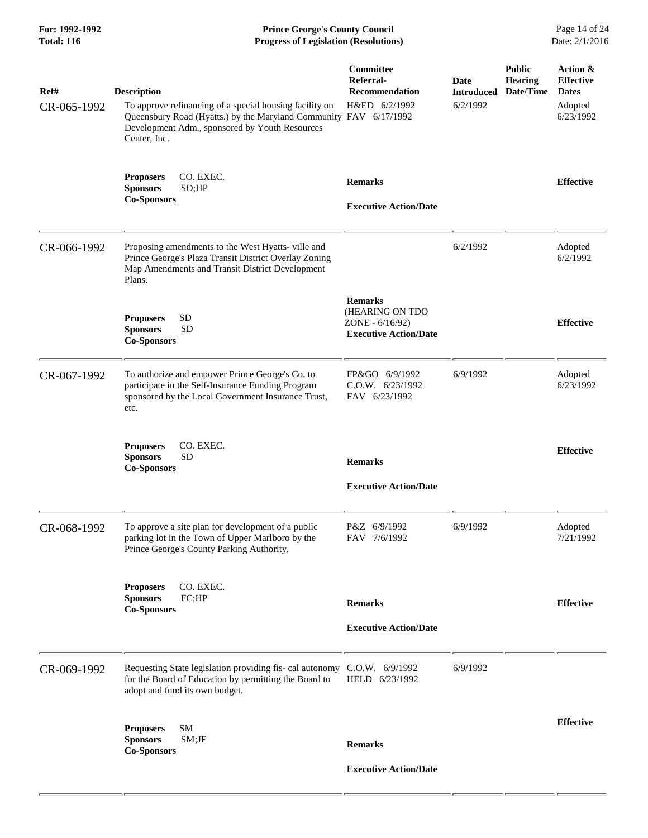| For: 1992-1992<br><b>Total: 116</b> | <b>Prince George's County Council</b><br><b>Progress of Legislation (Resolutions)</b>                                                                                                                                |                                                                                      |                                       |                                              | Page 14 of 24<br>Date: 2/1/2016                                      |
|-------------------------------------|----------------------------------------------------------------------------------------------------------------------------------------------------------------------------------------------------------------------|--------------------------------------------------------------------------------------|---------------------------------------|----------------------------------------------|----------------------------------------------------------------------|
| Ref#<br>CR-065-1992                 | <b>Description</b><br>To approve refinancing of a special housing facility on<br>Queensbury Road (Hyatts.) by the Maryland Community FAV 6/17/1992<br>Development Adm., sponsored by Youth Resources<br>Center, Inc. | <b>Committee</b><br>Referral-<br>Recommendation<br>H&ED 6/2/1992                     | Date<br><b>Introduced</b><br>6/2/1992 | <b>Public</b><br><b>Hearing</b><br>Date/Time | Action &<br><b>Effective</b><br><b>Dates</b><br>Adopted<br>6/23/1992 |
|                                     | CO. EXEC.<br><b>Proposers</b><br><b>Sponsors</b><br>SD;HP<br><b>Co-Sponsors</b>                                                                                                                                      | <b>Remarks</b><br><b>Executive Action/Date</b>                                       |                                       |                                              | <b>Effective</b>                                                     |
| CR-066-1992                         | Proposing amendments to the West Hyatts- ville and<br>Prince George's Plaza Transit District Overlay Zoning<br>Map Amendments and Transit District Development<br>Plans.                                             |                                                                                      | 6/2/1992                              |                                              | Adopted<br>6/2/1992                                                  |
|                                     | <b>SD</b><br><b>Proposers</b><br><b>SD</b><br><b>Sponsors</b><br><b>Co-Sponsors</b>                                                                                                                                  | <b>Remarks</b><br>(HEARING ON TDO<br>ZONE - 6/16/92)<br><b>Executive Action/Date</b> |                                       |                                              | <b>Effective</b>                                                     |
| CR-067-1992                         | To authorize and empower Prince George's Co. to<br>participate in the Self-Insurance Funding Program<br>sponsored by the Local Government Insurance Trust,<br>etc.                                                   | FP&GO 6/9/1992<br>C.0.W. 6/23/1992<br>FAV 6/23/1992                                  | 6/9/1992                              |                                              | Adopted<br>6/23/1992                                                 |
|                                     | <b>Proposers</b><br>CO. EXEC.<br><b>SD</b><br><b>Sponsors</b><br><b>Co-Sponsors</b>                                                                                                                                  | <b>Remarks</b><br><b>Executive Action/Date</b>                                       |                                       |                                              | <b>Effective</b>                                                     |
| CR-068-1992                         | To approve a site plan for development of a public<br>parking lot in the Town of Upper Marlboro by the<br>Prince George's County Parking Authority.                                                                  | P&Z 6/9/1992<br>FAV 7/6/1992                                                         | 6/9/1992                              |                                              | Adopted<br>7/21/1992                                                 |
|                                     | CO. EXEC.<br><b>Proposers</b><br><b>Sponsors</b><br>FC;HP<br><b>Co-Sponsors</b>                                                                                                                                      | <b>Remarks</b><br><b>Executive Action/Date</b>                                       |                                       |                                              | <b>Effective</b>                                                     |
| CR-069-1992                         | Requesting State legislation providing fis-cal autonomy<br>for the Board of Education by permitting the Board to<br>adopt and fund its own budget.                                                                   | $C.0.W.$ 6/9/1992<br>HELD 6/23/1992                                                  | 6/9/1992                              |                                              |                                                                      |
|                                     | <b>SM</b><br><b>Proposers</b><br>$SM;$ JF<br><b>Sponsors</b><br><b>Co-Sponsors</b>                                                                                                                                   | <b>Remarks</b><br><b>Executive Action/Date</b>                                       |                                       |                                              | <b>Effective</b>                                                     |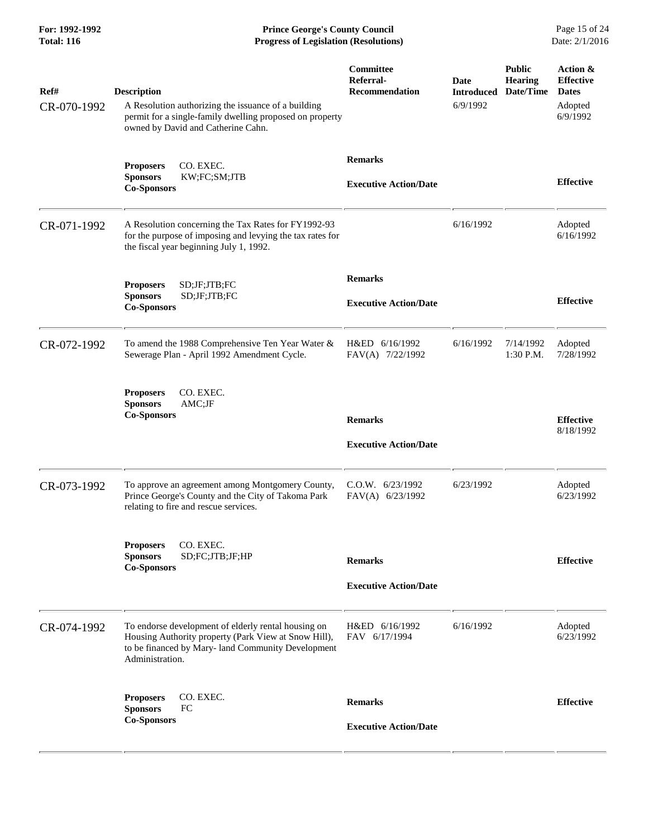**For: 1992-1992 Prince George's County Council** Page 15 of 24<br> **Progress of Legislation (Resolutions)** Date: 2/1/2016 **Total: 116 Progress of Legislation (Resolutions)** 

| Ref#<br>CR-070-1992 | <b>Description</b><br>A Resolution authorizing the issuance of a building<br>permit for a single-family dwelling proposed on property<br>owned by David and Catherine Cahn.          | Committee<br>Referral-<br><b>Recommendation</b> | Date<br><b>Introduced</b><br>6/9/1992 | <b>Public</b><br><b>Hearing</b><br>Date/Time | Action &<br><b>Effective</b><br><b>Dates</b><br>Adopted<br>6/9/1992 |
|---------------------|--------------------------------------------------------------------------------------------------------------------------------------------------------------------------------------|-------------------------------------------------|---------------------------------------|----------------------------------------------|---------------------------------------------------------------------|
|                     | CO. EXEC.<br><b>Proposers</b><br>KW;FC;SM;JTB<br><b>Sponsors</b><br><b>Co-Sponsors</b>                                                                                               | <b>Remarks</b><br><b>Executive Action/Date</b>  |                                       |                                              | <b>Effective</b>                                                    |
| CR-071-1992         | A Resolution concerning the Tax Rates for FY1992-93<br>for the purpose of imposing and levying the tax rates for<br>the fiscal year beginning July 1, 1992.                          |                                                 | 6/16/1992                             |                                              | Adopted<br>6/16/1992                                                |
|                     | SD;JF;JTB;FC<br><b>Proposers</b><br><b>Sponsors</b><br>SD;JF;JTB;FC<br><b>Co-Sponsors</b>                                                                                            | <b>Remarks</b><br><b>Executive Action/Date</b>  |                                       |                                              | <b>Effective</b>                                                    |
| CR-072-1992         | To amend the 1988 Comprehensive Ten Year Water &<br>Sewerage Plan - April 1992 Amendment Cycle.                                                                                      | H&ED 6/16/1992<br>FAV(A) 7/22/1992              | 6/16/1992                             | 7/14/1992<br>1:30 P.M.                       | Adopted<br>7/28/1992                                                |
|                     | CO. EXEC.<br><b>Proposers</b><br><b>Sponsors</b><br>AMC;JF<br><b>Co-Sponsors</b>                                                                                                     | <b>Remarks</b><br><b>Executive Action/Date</b>  |                                       |                                              | <b>Effective</b><br>8/18/1992                                       |
| CR-073-1992         | To approve an agreement among Montgomery County,<br>Prince George's County and the City of Takoma Park<br>relating to fire and rescue services.                                      | $C.0.W.$ 6/23/1992<br>FAV(A) 6/23/1992          | 6/23/1992                             |                                              | Adopted<br>6/23/1992                                                |
|                     | CO. EXEC.<br><b>Proposers</b><br><b>Sponsors</b><br>SD;FC;JTB;JF;HP<br><b>Co-Sponsors</b>                                                                                            | <b>Remarks</b><br><b>Executive Action/Date</b>  |                                       |                                              | <b>Effective</b>                                                    |
| CR-074-1992         | To endorse development of elderly rental housing on<br>Housing Authority property (Park View at Snow Hill),<br>to be financed by Mary- land Community Development<br>Administration. | H&ED 6/16/1992<br>FAV 6/17/1994                 | 6/16/1992                             |                                              | Adopted<br>6/23/1992                                                |
|                     | CO. EXEC.<br><b>Proposers</b><br>FC<br><b>Sponsors</b><br><b>Co-Sponsors</b>                                                                                                         | <b>Remarks</b><br><b>Executive Action/Date</b>  |                                       |                                              | <b>Effective</b>                                                    |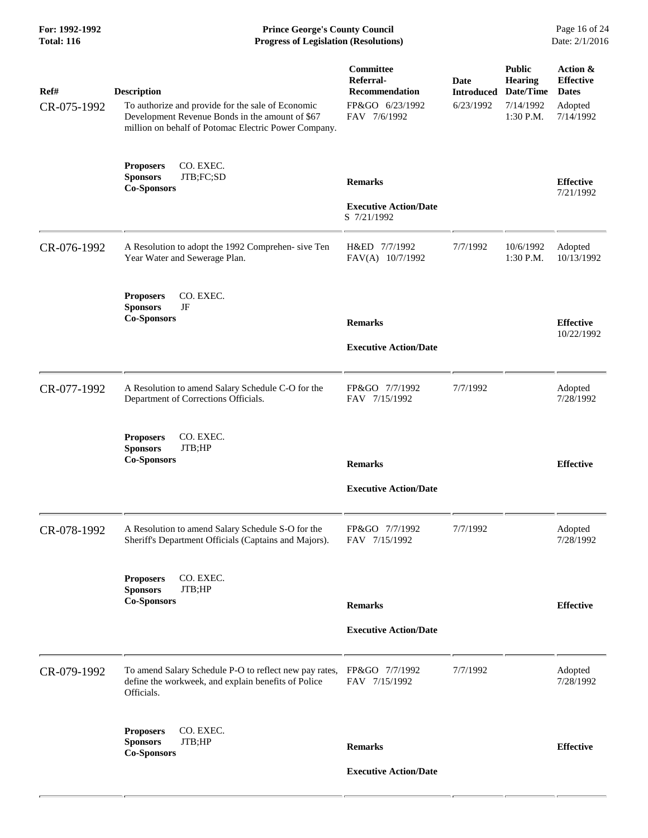**For: 1992-1992 Prince George's County Council** Page 16 of 24<br> **Progress of Legislation (Resolutions)** Date: 2/1/2016 **Total: 116 Progress of Legislation (Resolutions)** 

| Ref#<br>CR-075-1992 | <b>Description</b><br>To authorize and provide for the sale of Economic<br>Development Revenue Bonds in the amount of \$67<br>million on behalf of Potomac Electric Power Company. | Committee<br>Referral-<br><b>Recommendation</b><br>FP&GO 6/23/1992<br>FAV 7/6/1992 | <b>Date</b><br><b>Introduced</b><br>6/23/1992 | <b>Public</b><br><b>Hearing</b><br>Date/Time<br>7/14/1992<br>1:30 P.M. | Action &<br><b>Effective</b><br><b>Dates</b><br>Adopted<br>7/14/1992 |
|---------------------|------------------------------------------------------------------------------------------------------------------------------------------------------------------------------------|------------------------------------------------------------------------------------|-----------------------------------------------|------------------------------------------------------------------------|----------------------------------------------------------------------|
|                     | <b>Proposers</b><br>CO. EXEC.<br>JTB;FC;SD<br><b>Sponsors</b><br><b>Co-Sponsors</b>                                                                                                | <b>Remarks</b><br><b>Executive Action/Date</b><br>S 7/21/1992                      |                                               |                                                                        | <b>Effective</b><br>7/21/1992                                        |
| CR-076-1992         | A Resolution to adopt the 1992 Comprehen- sive Ten<br>Year Water and Sewerage Plan.                                                                                                | H&ED 7/7/1992<br>FAV(A) 10/7/1992                                                  | 7/7/1992                                      | 10/6/1992<br>1:30 P.M.                                                 | Adopted<br>10/13/1992                                                |
|                     | <b>Proposers</b><br>CO. EXEC.<br><b>Sponsors</b><br>JF<br><b>Co-Sponsors</b>                                                                                                       | <b>Remarks</b><br><b>Executive Action/Date</b>                                     |                                               |                                                                        | <b>Effective</b><br>10/22/1992                                       |
| CR-077-1992         | A Resolution to amend Salary Schedule C-O for the<br>Department of Corrections Officials.                                                                                          | FP&GO 7/7/1992<br>FAV 7/15/1992                                                    | 7/7/1992                                      |                                                                        | Adopted<br>7/28/1992                                                 |
|                     | CO. EXEC.<br><b>Proposers</b><br><b>Sponsors</b><br>JTB;HP<br><b>Co-Sponsors</b>                                                                                                   | <b>Remarks</b><br><b>Executive Action/Date</b>                                     |                                               |                                                                        | <b>Effective</b>                                                     |
| CR-078-1992         | A Resolution to amend Salary Schedule S-O for the<br>Sheriff's Department Officials (Captains and Majors).                                                                         | FP&GO 7/7/1992<br>FAV 7/15/1992                                                    | 7/7/1992                                      |                                                                        | Adopted<br>7/28/1992                                                 |
|                     | CO. EXEC.<br><b>Proposers</b><br>JTB;HP<br><b>Sponsors</b><br><b>Co-Sponsors</b>                                                                                                   | <b>Remarks</b><br><b>Executive Action/Date</b>                                     |                                               |                                                                        | <b>Effective</b>                                                     |
| CR-079-1992         | To amend Salary Schedule P-O to reflect new pay rates,<br>define the workweek, and explain benefits of Police<br>Officials.                                                        | FP&GO 7/7/1992<br>FAV 7/15/1992                                                    | 7/7/1992                                      |                                                                        | Adopted<br>7/28/1992                                                 |
|                     | CO. EXEC.<br><b>Proposers</b><br>JTB;HP<br><b>Sponsors</b><br><b>Co-Sponsors</b>                                                                                                   | <b>Remarks</b><br><b>Executive Action/Date</b>                                     |                                               |                                                                        | <b>Effective</b>                                                     |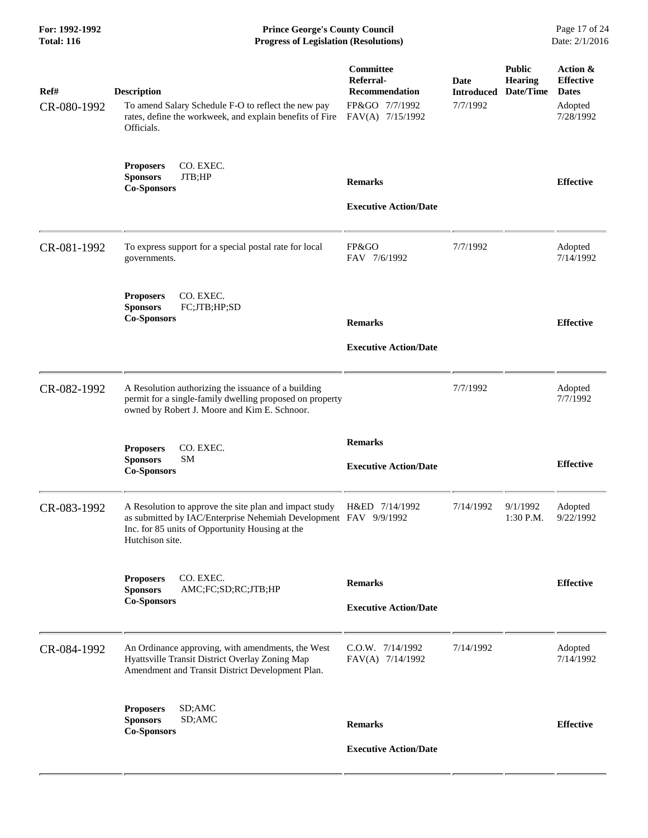| For: 1992-1992<br><b>Total: 116</b> | <b>Prince George's County Council</b><br><b>Progress of Legislation (Resolutions)</b>                                                                                                                           |                                                                                       |                                              |                                              | Page 17 of 24<br>Date: 2/1/2016                                      |
|-------------------------------------|-----------------------------------------------------------------------------------------------------------------------------------------------------------------------------------------------------------------|---------------------------------------------------------------------------------------|----------------------------------------------|----------------------------------------------|----------------------------------------------------------------------|
| Ref#<br>CR-080-1992                 | <b>Description</b><br>To amend Salary Schedule F-O to reflect the new pay<br>rates, define the workweek, and explain benefits of Fire<br>Officials.                                                             | Committee<br>Referral-<br><b>Recommendation</b><br>FP&GO 7/7/1992<br>FAV(A) 7/15/1992 | <b>Date</b><br><b>Introduced</b><br>7/7/1992 | <b>Public</b><br><b>Hearing</b><br>Date/Time | Action &<br><b>Effective</b><br><b>Dates</b><br>Adopted<br>7/28/1992 |
|                                     | CO. EXEC.<br><b>Proposers</b><br>JTB;HP<br><b>Sponsors</b><br><b>Co-Sponsors</b>                                                                                                                                | <b>Remarks</b><br><b>Executive Action/Date</b>                                        |                                              |                                              | <b>Effective</b>                                                     |
| CR-081-1992                         | To express support for a special postal rate for local<br>governments.                                                                                                                                          | FP&GO<br>FAV 7/6/1992                                                                 | 7/7/1992                                     |                                              | Adopted<br>7/14/1992                                                 |
|                                     | CO. EXEC.<br><b>Proposers</b><br>FC;JTB;HP;SD<br><b>Sponsors</b><br><b>Co-Sponsors</b>                                                                                                                          | <b>Remarks</b><br><b>Executive Action/Date</b>                                        |                                              |                                              | <b>Effective</b>                                                     |
| CR-082-1992                         | A Resolution authorizing the issuance of a building<br>permit for a single-family dwelling proposed on property<br>owned by Robert J. Moore and Kim E. Schnoor.                                                 |                                                                                       | 7/7/1992                                     |                                              | Adopted<br>7/7/1992                                                  |
|                                     | CO. EXEC.<br><b>Proposers</b><br><b>Sponsors</b><br><b>SM</b><br><b>Co-Sponsors</b>                                                                                                                             | <b>Remarks</b><br><b>Executive Action/Date</b>                                        |                                              |                                              | <b>Effective</b>                                                     |
| CR-083-1992                         | A Resolution to approve the site plan and impact study H&ED 7/14/1992<br>as submitted by IAC/Enterprise Nehemiah Development FAV 9/9/1992<br>Inc. for 85 units of Opportunity Housing at the<br>Hutchison site. |                                                                                       | 7/14/1992                                    | 9/1/1992<br>1:30 P.M.                        | Adopted<br>9/22/1992                                                 |
|                                     | CO. EXEC.<br><b>Proposers</b><br><b>Sponsors</b><br>AMC;FC;SD;RC;JTB;HP<br><b>Co-Sponsors</b>                                                                                                                   | <b>Remarks</b><br><b>Executive Action/Date</b>                                        |                                              |                                              | <b>Effective</b>                                                     |
| CR-084-1992                         | An Ordinance approving, with amendments, the West<br>Hyattsville Transit District Overlay Zoning Map<br>Amendment and Transit District Development Plan.                                                        | C.O.W. 7/14/1992<br>FAV(A) 7/14/1992                                                  | 7/14/1992                                    |                                              | Adopted<br>7/14/1992                                                 |
|                                     | <b>Proposers</b><br>SD;AMC<br><b>Sponsors</b><br>SD;AMC<br><b>Co-Sponsors</b>                                                                                                                                   | <b>Remarks</b><br><b>Executive Action/Date</b>                                        |                                              |                                              | <b>Effective</b>                                                     |
|                                     |                                                                                                                                                                                                                 |                                                                                       |                                              |                                              |                                                                      |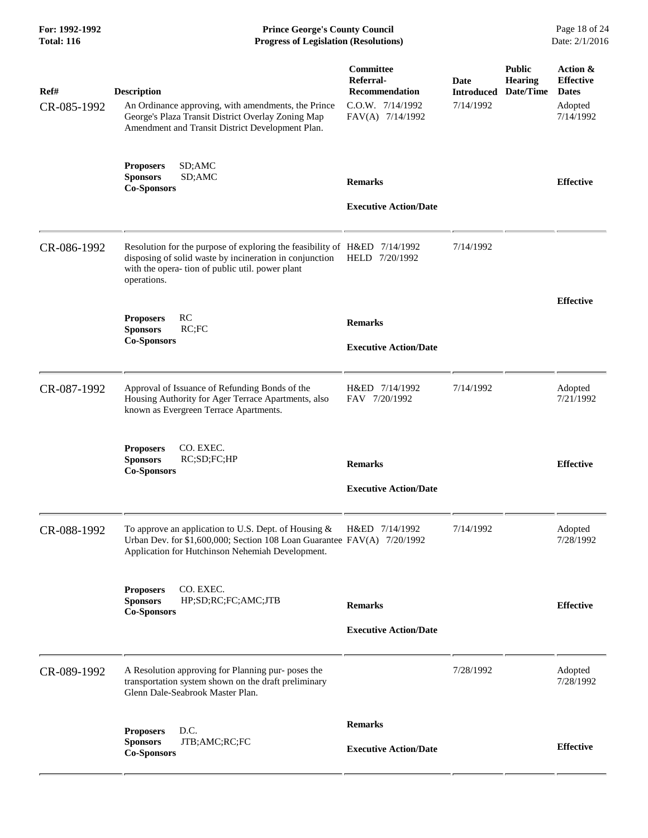| For: 1992-1992<br><b>Total: 116</b> | <b>Prince George's County Council</b><br><b>Progress of Legislation (Resolutions)</b>                                                                                                                   |                                                                                                |                                 |                                              | Page 18 of 24<br>Date: 2/1/2016                                      |
|-------------------------------------|---------------------------------------------------------------------------------------------------------------------------------------------------------------------------------------------------------|------------------------------------------------------------------------------------------------|---------------------------------|----------------------------------------------|----------------------------------------------------------------------|
| Ref#<br>CR-085-1992                 | <b>Description</b><br>An Ordinance approving, with amendments, the Prince<br>George's Plaza Transit District Overlay Zoning Map<br>Amendment and Transit District Development Plan.                     | Committee<br><b>Referral-</b><br><b>Recommendation</b><br>C.O.W. 7/14/1992<br>FAV(A) 7/14/1992 | Date<br>Introduced<br>7/14/1992 | <b>Public</b><br><b>Hearing</b><br>Date/Time | Action &<br><b>Effective</b><br><b>Dates</b><br>Adopted<br>7/14/1992 |
|                                     | <b>Proposers</b><br>SD;AMC<br><b>Sponsors</b><br>SD;AMC<br><b>Co-Sponsors</b>                                                                                                                           | <b>Remarks</b><br><b>Executive Action/Date</b>                                                 |                                 |                                              | <b>Effective</b>                                                     |
| CR-086-1992                         | Resolution for the purpose of exploring the feasibility of H&ED 7/14/1992<br>disposing of solid waste by incineration in conjunction<br>with the opera- tion of public util. power plant<br>operations. | HELD 7/20/1992                                                                                 | 7/14/1992                       |                                              |                                                                      |
|                                     | <b>RC</b><br><b>Proposers</b><br><b>Sponsors</b><br>RC;FC<br><b>Co-Sponsors</b>                                                                                                                         | <b>Remarks</b><br><b>Executive Action/Date</b>                                                 |                                 |                                              | <b>Effective</b>                                                     |
| CR-087-1992                         | Approval of Issuance of Refunding Bonds of the<br>Housing Authority for Ager Terrace Apartments, also<br>known as Evergreen Terrace Apartments.                                                         | H&ED 7/14/1992<br>FAV 7/20/1992                                                                | 7/14/1992                       |                                              | Adopted<br>7/21/1992                                                 |
|                                     | <b>Proposers</b><br>CO. EXEC.<br>RC;SD;FC;HP<br><b>Sponsors</b><br><b>Co-Sponsors</b>                                                                                                                   | <b>Remarks</b><br><b>Executive Action/Date</b>                                                 |                                 |                                              | <b>Effective</b>                                                     |
| CR-088-1992                         | To approve an application to U.S. Dept. of Housing $\&$<br>Urban Dev. for \$1,600,000; Section 108 Loan Guarantee FAV(A) 7/20/1992<br>Application for Hutchinson Nehemiah Development.                  | H&ED 7/14/1992                                                                                 | 7/14/1992                       |                                              | Adopted<br>7/28/1992                                                 |
|                                     | CO. EXEC.<br><b>Proposers</b><br><b>Sponsors</b><br>HP;SD;RC;FC;AMC;JTB<br><b>Co-Sponsors</b>                                                                                                           | <b>Remarks</b><br><b>Executive Action/Date</b>                                                 |                                 |                                              | <b>Effective</b>                                                     |
| CR-089-1992                         | A Resolution approving for Planning pur- poses the<br>transportation system shown on the draft preliminary<br>Glenn Dale-Seabrook Master Plan.                                                          |                                                                                                | 7/28/1992                       |                                              | Adopted<br>7/28/1992                                                 |
|                                     | D.C.<br><b>Proposers</b><br>JTB;AMC;RC;FC<br><b>Sponsors</b><br><b>Co-Sponsors</b>                                                                                                                      | <b>Remarks</b><br><b>Executive Action/Date</b>                                                 |                                 |                                              | <b>Effective</b>                                                     |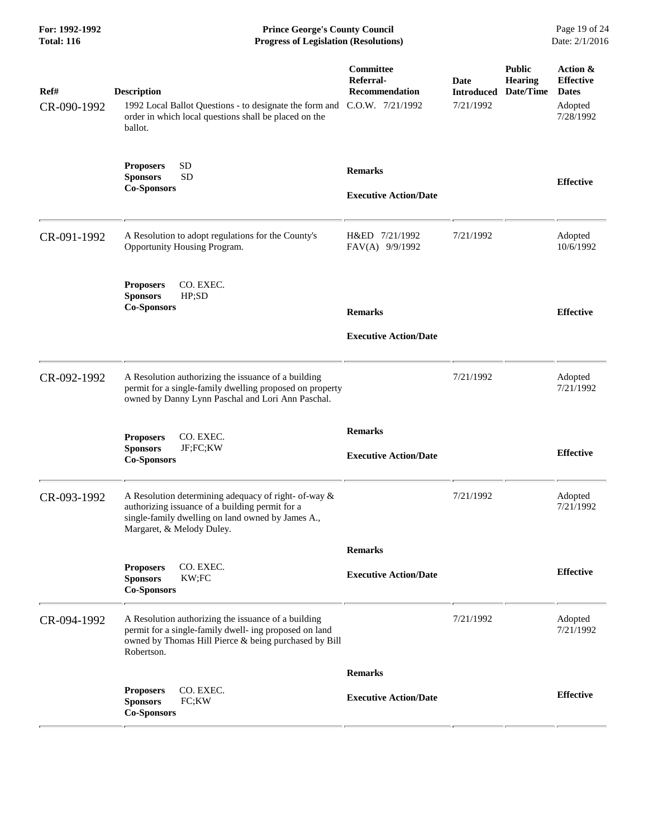| For: 1992-1992<br><b>Total: 116</b> | <b>Prince George's County Council</b><br><b>Progress of Legislation (Resolutions)</b>                                                                                                     |                                                                     |                                               |                                              | Page 19 of 24<br>Date: 2/1/2016                                      |
|-------------------------------------|-------------------------------------------------------------------------------------------------------------------------------------------------------------------------------------------|---------------------------------------------------------------------|-----------------------------------------------|----------------------------------------------|----------------------------------------------------------------------|
| Ref#<br>CR-090-1992                 | <b>Description</b><br>1992 Local Ballot Questions - to designate the form and<br>order in which local questions shall be placed on the<br>ballot.                                         | Committee<br>Referral-<br><b>Recommendation</b><br>C.O.W. 7/21/1992 | <b>Date</b><br><b>Introduced</b><br>7/21/1992 | <b>Public</b><br><b>Hearing</b><br>Date/Time | Action &<br><b>Effective</b><br><b>Dates</b><br>Adopted<br>7/28/1992 |
|                                     | <b>SD</b><br><b>Proposers</b><br><b>SD</b><br><b>Sponsors</b><br><b>Co-Sponsors</b>                                                                                                       | <b>Remarks</b><br><b>Executive Action/Date</b>                      |                                               |                                              | <b>Effective</b>                                                     |
| CR-091-1992                         | A Resolution to adopt regulations for the County's<br>Opportunity Housing Program.                                                                                                        | H&ED 7/21/1992<br>FAV(A) 9/9/1992                                   | 7/21/1992                                     |                                              | Adopted<br>10/6/1992                                                 |
|                                     | CO. EXEC.<br><b>Proposers</b><br><b>Sponsors</b><br>HP;SD<br><b>Co-Sponsors</b>                                                                                                           | <b>Remarks</b><br><b>Executive Action/Date</b>                      |                                               |                                              | <b>Effective</b>                                                     |
| CR-092-1992                         | A Resolution authorizing the issuance of a building<br>permit for a single-family dwelling proposed on property<br>owned by Danny Lynn Paschal and Lori Ann Paschal.                      |                                                                     | 7/21/1992                                     |                                              | Adopted<br>7/21/1992                                                 |
|                                     | CO. EXEC.<br><b>Proposers</b><br><b>Sponsors</b><br>JF;FC;KW<br><b>Co-Sponsors</b>                                                                                                        | <b>Remarks</b><br><b>Executive Action/Date</b>                      |                                               |                                              | <b>Effective</b>                                                     |
| CR-093-1992                         | A Resolution determining adequacy of right- of-way &<br>authorizing issuance of a building permit for a<br>single-family dwelling on land owned by James A.,<br>Margaret, & Melody Duley. |                                                                     | 7/21/1992                                     |                                              | Adopted<br>7/21/1992                                                 |
|                                     |                                                                                                                                                                                           | <b>Remarks</b>                                                      |                                               |                                              |                                                                      |
|                                     | CO. EXEC.<br><b>Proposers</b><br><b>Sponsors</b><br>KW;FC<br><b>Co-Sponsors</b>                                                                                                           | <b>Executive Action/Date</b>                                        |                                               |                                              | <b>Effective</b>                                                     |
| CR-094-1992                         | A Resolution authorizing the issuance of a building<br>permit for a single-family dwell- ing proposed on land<br>owned by Thomas Hill Pierce & being purchased by Bill<br>Robertson.      |                                                                     | 7/21/1992                                     |                                              | Adopted<br>7/21/1992                                                 |
|                                     |                                                                                                                                                                                           | <b>Remarks</b>                                                      |                                               |                                              |                                                                      |
|                                     | CO. EXEC.<br><b>Proposers</b><br>FC;KW<br><b>Sponsors</b><br><b>Co-Sponsors</b>                                                                                                           | <b>Executive Action/Date</b>                                        |                                               |                                              | <b>Effective</b>                                                     |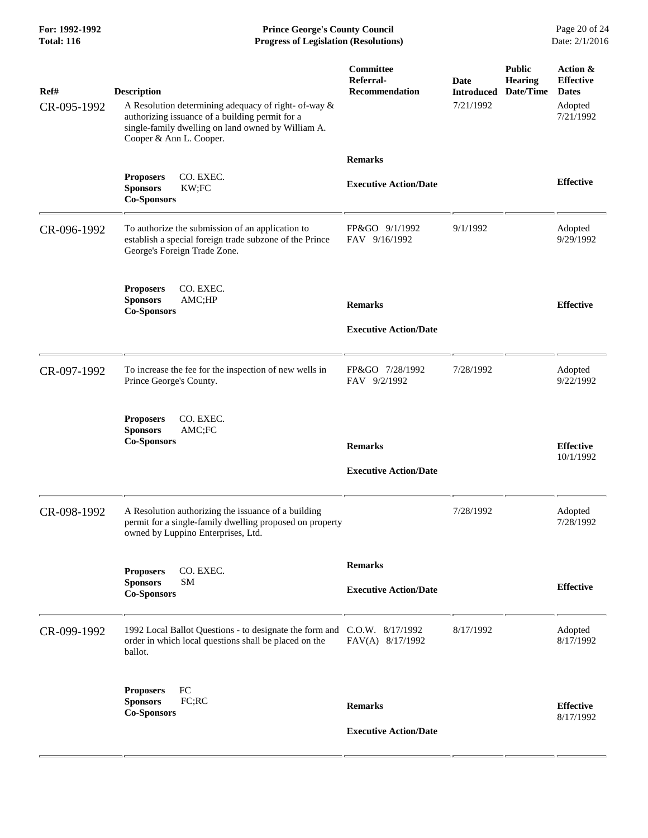**For: 1992-1992 Prince George's County Council** Page 20 of 24<br> **Progress of Legislation (Resolutions)** Date: 2/1/2016 **Total: 116 Progress of Legislation (Resolutions)** 

| Ref#<br>CR-095-1992 | <b>Description</b><br>A Resolution determining adequacy of right- of-way &<br>authorizing issuance of a building permit for a<br>single-family dwelling on land owned by William A.<br>Cooper & Ann L. Cooper. | Committee<br>Referral-<br><b>Recommendation</b> | Date<br><b>Introduced</b><br>7/21/1992 | <b>Public</b><br><b>Hearing</b><br>Date/Time | Action &<br><b>Effective</b><br><b>Dates</b><br>Adopted<br>7/21/1992 |
|---------------------|----------------------------------------------------------------------------------------------------------------------------------------------------------------------------------------------------------------|-------------------------------------------------|----------------------------------------|----------------------------------------------|----------------------------------------------------------------------|
|                     |                                                                                                                                                                                                                | <b>Remarks</b>                                  |                                        |                                              |                                                                      |
|                     | CO. EXEC.<br><b>Proposers</b><br><b>Sponsors</b><br>KW;FC<br><b>Co-Sponsors</b>                                                                                                                                | <b>Executive Action/Date</b>                    |                                        |                                              | <b>Effective</b>                                                     |
| CR-096-1992         | To authorize the submission of an application to<br>establish a special foreign trade subzone of the Prince<br>George's Foreign Trade Zone.                                                                    | FP&GO 9/1/1992<br>FAV 9/16/1992                 | 9/1/1992                               |                                              | Adopted<br>9/29/1992                                                 |
|                     | <b>Proposers</b><br>CO. EXEC.<br><b>Sponsors</b><br>AMC;HP<br><b>Co-Sponsors</b>                                                                                                                               | <b>Remarks</b>                                  |                                        |                                              | <b>Effective</b>                                                     |
|                     |                                                                                                                                                                                                                | <b>Executive Action/Date</b>                    |                                        |                                              |                                                                      |
| CR-097-1992         | To increase the fee for the inspection of new wells in<br>Prince George's County.                                                                                                                              | FP&GO 7/28/1992<br>FAV 9/2/1992                 | 7/28/1992                              |                                              | Adopted<br>9/22/1992                                                 |
|                     | CO. EXEC.<br><b>Proposers</b><br><b>Sponsors</b><br>AMC;FC<br><b>Co-Sponsors</b>                                                                                                                               | <b>Remarks</b><br><b>Executive Action/Date</b>  |                                        |                                              | <b>Effective</b><br>10/1/1992                                        |
| CR-098-1992         | A Resolution authorizing the issuance of a building<br>permit for a single-family dwelling proposed on property<br>owned by Luppino Enterprises, Ltd.                                                          |                                                 | 7/28/1992                              |                                              | Adopted<br>7/28/1992                                                 |
|                     |                                                                                                                                                                                                                | <b>Remarks</b>                                  |                                        |                                              |                                                                      |
|                     | CO. EXEC.<br><b>Proposers</b><br><b>Sponsors</b><br><b>SM</b><br><b>Co-Sponsors</b>                                                                                                                            | <b>Executive Action/Date</b>                    |                                        |                                              | <b>Effective</b>                                                     |
| CR-099-1992         | 1992 Local Ballot Questions - to designate the form and C.O.W. 8/17/1992<br>order in which local questions shall be placed on the<br>ballot.                                                                   | FAV(A) 8/17/1992                                | 8/17/1992                              |                                              | Adopted<br>8/17/1992                                                 |
|                     | FC<br><b>Proposers</b><br><b>Sponsors</b><br>FC;RC<br><b>Co-Sponsors</b>                                                                                                                                       | <b>Remarks</b><br><b>Executive Action/Date</b>  |                                        |                                              | <b>Effective</b><br>8/17/1992                                        |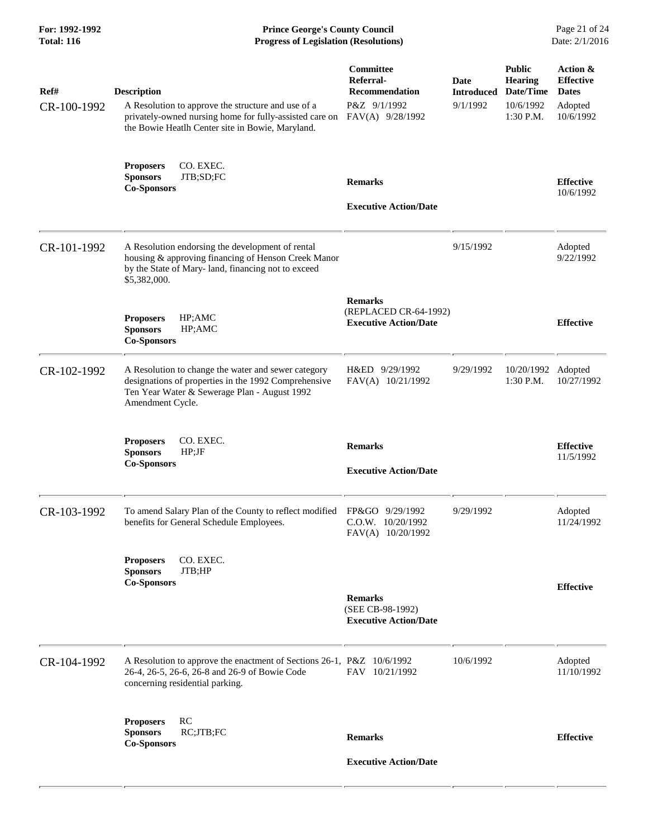| For: 1992-1992<br><b>Total: 116</b> | <b>Prince George's County Council</b><br><b>Progress of Legislation (Resolutions)</b>                                                                                                   |                                                                                     |                                       |                                                                        | Page 21 of 24<br>Date: 2/1/2016                                      |
|-------------------------------------|-----------------------------------------------------------------------------------------------------------------------------------------------------------------------------------------|-------------------------------------------------------------------------------------|---------------------------------------|------------------------------------------------------------------------|----------------------------------------------------------------------|
| Ref#<br>CR-100-1992                 | <b>Description</b><br>A Resolution to approve the structure and use of a<br>privately-owned nursing home for fully-assisted care on<br>the Bowie Heatlh Center site in Bowie, Maryland. | <b>Committee</b><br>Referral-<br>Recommendation<br>P&Z 9/1/1992<br>FAV(A) 9/28/1992 | Date<br><b>Introduced</b><br>9/1/1992 | <b>Public</b><br><b>Hearing</b><br>Date/Time<br>10/6/1992<br>1:30 P.M. | Action &<br><b>Effective</b><br><b>Dates</b><br>Adopted<br>10/6/1992 |
|                                     | CO. EXEC.<br><b>Proposers</b><br>JTB;SD;FC<br><b>Sponsors</b><br><b>Co-Sponsors</b>                                                                                                     | <b>Remarks</b><br><b>Executive Action/Date</b>                                      |                                       |                                                                        | <b>Effective</b><br>10/6/1992                                        |
| CR-101-1992                         | A Resolution endorsing the development of rental<br>housing & approving financing of Henson Creek Manor<br>by the State of Mary-land, financing not to exceed<br>\$5,382,000.           |                                                                                     | 9/15/1992                             |                                                                        | Adopted<br>9/22/1992                                                 |
|                                     | HP;AMC<br><b>Proposers</b><br><b>Sponsors</b><br>HP;AMC<br><b>Co-Sponsors</b>                                                                                                           | <b>Remarks</b><br>(REPLACED CR-64-1992)<br><b>Executive Action/Date</b>             |                                       |                                                                        | <b>Effective</b>                                                     |
| CR-102-1992                         | A Resolution to change the water and sewer category<br>designations of properties in the 1992 Comprehensive<br>Ten Year Water & Sewerage Plan - August 1992<br>Amendment Cycle.         | H&ED 9/29/1992<br>FAV(A) 10/21/1992                                                 | 9/29/1992                             | 10/20/1992<br>1:30 P.M.                                                | Adopted<br>10/27/1992                                                |
|                                     | CO. EXEC.<br><b>Proposers</b><br><b>Sponsors</b><br>HP; JF<br><b>Co-Sponsors</b>                                                                                                        | <b>Remarks</b><br><b>Executive Action/Date</b>                                      |                                       |                                                                        | <b>Effective</b><br>11/5/1992                                        |
| CR-103-1992                         | To amend Salary Plan of the County to reflect modified FP&GO 9/29/1992<br>benefits for General Schedule Employees.                                                                      | C.O.W. 10/20/1992<br>FAV(A) 10/20/1992                                              | 9/29/1992                             |                                                                        | Adopted<br>11/24/1992                                                |
|                                     | <b>Proposers</b><br>CO. EXEC.<br>JTB;HP<br><b>Sponsors</b><br><b>Co-Sponsors</b>                                                                                                        | <b>Remarks</b><br>(SEE CB-98-1992)<br><b>Executive Action/Date</b>                  |                                       |                                                                        | <b>Effective</b>                                                     |
| CR-104-1992                         | A Resolution to approve the enactment of Sections 26-1, P&Z 10/6/1992<br>26-4, 26-5, 26-6, 26-8 and 26-9 of Bowie Code<br>concerning residential parking.                               | FAV 10/21/1992                                                                      | 10/6/1992                             |                                                                        | Adopted<br>11/10/1992                                                |
|                                     | RC<br><b>Proposers</b><br>RC;JTB;FC<br><b>Sponsors</b><br><b>Co-Sponsors</b>                                                                                                            | <b>Remarks</b><br><b>Executive Action/Date</b>                                      |                                       |                                                                        | <b>Effective</b>                                                     |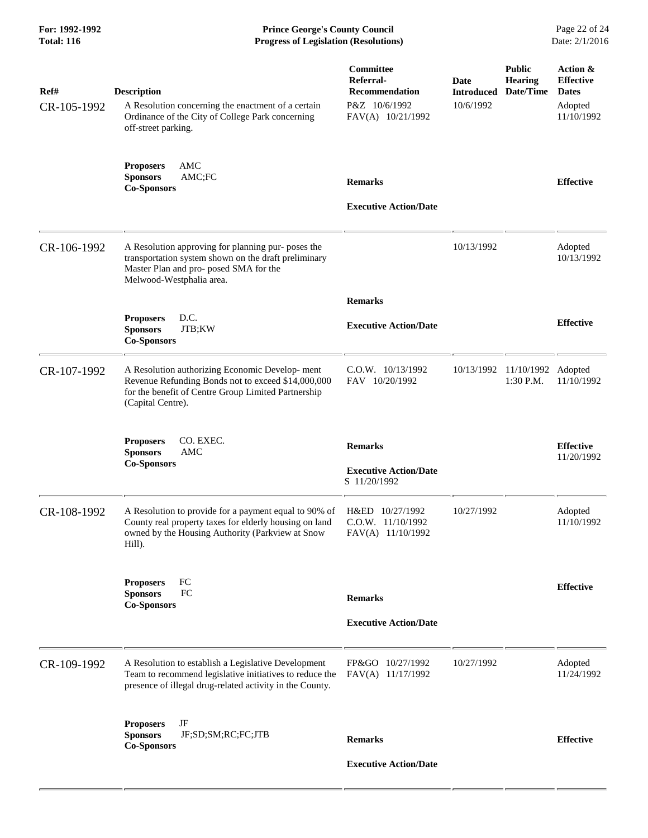| <b>Total: 116</b>   | <b>Progress of Legislation (Resolutions)</b>                                                                                                                                                  |                                                                                       |                                        | Date: 2/1/2016                               |                                                                       |  |
|---------------------|-----------------------------------------------------------------------------------------------------------------------------------------------------------------------------------------------|---------------------------------------------------------------------------------------|----------------------------------------|----------------------------------------------|-----------------------------------------------------------------------|--|
| Ref#<br>CR-105-1992 | <b>Description</b><br>A Resolution concerning the enactment of a certain<br>Ordinance of the City of College Park concerning<br>off-street parking.                                           | Committee<br>Referral-<br><b>Recommendation</b><br>P&Z 10/6/1992<br>FAV(A) 10/21/1992 | Date<br><b>Introduced</b><br>10/6/1992 | <b>Public</b><br><b>Hearing</b><br>Date/Time | Action &<br><b>Effective</b><br><b>Dates</b><br>Adopted<br>11/10/1992 |  |
|                     | <b>Proposers</b><br>AMC<br>AMC;FC<br><b>Sponsors</b><br><b>Co-Sponsors</b>                                                                                                                    | <b>Remarks</b><br><b>Executive Action/Date</b>                                        |                                        |                                              | <b>Effective</b>                                                      |  |
| CR-106-1992         | A Resolution approving for planning pur- poses the<br>transportation system shown on the draft preliminary<br>Master Plan and pro- posed SMA for the<br>Melwood-Westphalia area.              |                                                                                       | 10/13/1992                             |                                              | Adopted<br>10/13/1992                                                 |  |
|                     |                                                                                                                                                                                               | <b>Remarks</b>                                                                        |                                        |                                              |                                                                       |  |
|                     | D.C.<br><b>Proposers</b><br>JTB;KW<br><b>Sponsors</b><br><b>Co-Sponsors</b>                                                                                                                   | <b>Executive Action/Date</b>                                                          |                                        |                                              | <b>Effective</b>                                                      |  |
| CR-107-1992         | A Resolution authorizing Economic Develop-ment<br>Revenue Refunding Bonds not to exceed \$14,000,000<br>for the benefit of Centre Group Limited Partnership<br>(Capital Centre).              | C.O.W. 10/13/1992<br>FAV 10/20/1992                                                   |                                        | 10/13/1992 11/10/1992 Adopted<br>1:30 P.M.   | 11/10/1992                                                            |  |
|                     | CO. EXEC.<br><b>Proposers</b><br><b>Sponsors</b><br>AMC<br><b>Co-Sponsors</b>                                                                                                                 | <b>Remarks</b><br><b>Executive Action/Date</b><br>S 11/20/1992                        |                                        |                                              | <b>Effective</b><br>11/20/1992                                        |  |
| CR-108-1992         | A Resolution to provide for a payment equal to 90% of H&ED 10/27/1992<br>County real property taxes for elderly housing on land<br>owned by the Housing Authority (Parkview at Snow<br>Hill). | C.O.W. 11/10/1992<br>FAV(A) 11/10/1992                                                | 10/27/1992                             |                                              | Adopted<br>11/10/1992                                                 |  |
|                     | <b>Proposers</b><br>FC<br>FC<br><b>Sponsors</b><br><b>Co-Sponsors</b>                                                                                                                         | <b>Remarks</b>                                                                        |                                        |                                              | <b>Effective</b>                                                      |  |
|                     |                                                                                                                                                                                               | <b>Executive Action/Date</b>                                                          |                                        |                                              |                                                                       |  |
| CR-109-1992         | A Resolution to establish a Legislative Development<br>Team to recommend legislative initiatives to reduce the<br>presence of illegal drug-related activity in the County.                    | FP&GO 10/27/1992<br>FAV(A) 11/17/1992                                                 | 10/27/1992                             |                                              | Adopted<br>11/24/1992                                                 |  |
|                     | JF<br><b>Proposers</b><br><b>Sponsors</b><br>JF;SD;SM;RC;FC;JTB<br><b>Co-Sponsors</b>                                                                                                         | <b>Remarks</b>                                                                        |                                        |                                              | <b>Effective</b>                                                      |  |
|                     |                                                                                                                                                                                               | <b>Executive Action/Date</b>                                                          |                                        |                                              |                                                                       |  |

**For: 1992-1992 Prince George's County Council** Page 22 of 24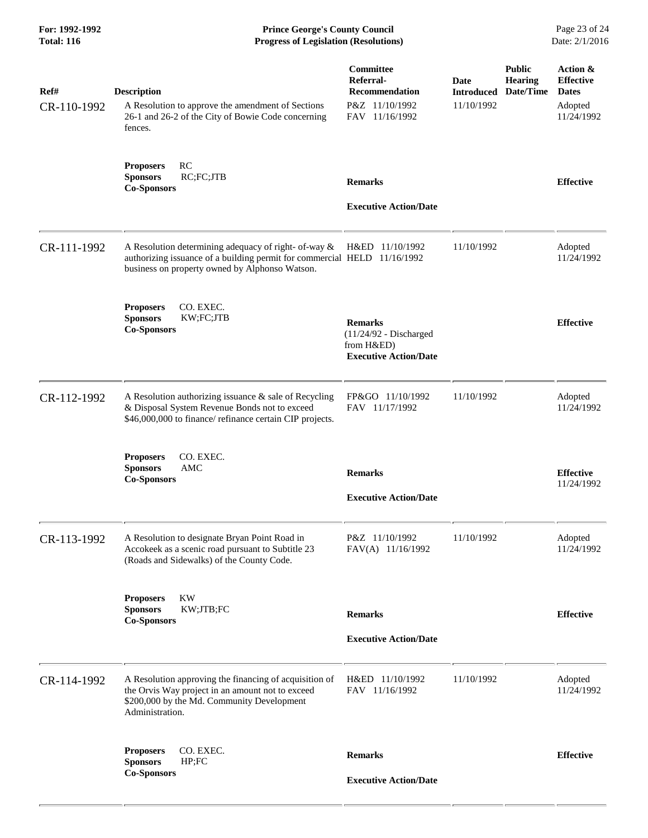**For: 1992-1992 Prince George's County Council** Page 23 of 24<br> **Progress of Legislation (Resolutions)** Date: 2/1/2016 **Total: 116 Progress of Legislation (Resolutions)** 

| Ref#<br>CR-110-1992 | <b>Description</b><br>A Resolution to approve the amendment of Sections<br>26-1 and 26-2 of the City of Bowie Code concerning                                                                      | Committee<br>Referral-<br><b>Recommendation</b><br>P&Z 11/10/1992<br>FAV 11/16/1992      | Date<br><b>Introduced</b><br>11/10/1992 | <b>Public</b><br><b>Hearing</b><br>Date/Time | Action &<br><b>Effective</b><br><b>Dates</b><br>Adopted<br>11/24/1992 |
|---------------------|----------------------------------------------------------------------------------------------------------------------------------------------------------------------------------------------------|------------------------------------------------------------------------------------------|-----------------------------------------|----------------------------------------------|-----------------------------------------------------------------------|
|                     | fences.                                                                                                                                                                                            |                                                                                          |                                         |                                              |                                                                       |
|                     | RC<br><b>Proposers</b><br><b>Sponsors</b><br>RC;FC;JTB<br><b>Co-Sponsors</b>                                                                                                                       | <b>Remarks</b><br><b>Executive Action/Date</b>                                           |                                         |                                              | <b>Effective</b>                                                      |
|                     |                                                                                                                                                                                                    |                                                                                          |                                         |                                              |                                                                       |
| CR-111-1992         | A Resolution determining adequacy of right- of-way & H&ED 11/10/1992<br>authorizing issuance of a building permit for commercial HELD 11/16/1992<br>business on property owned by Alphonso Watson. |                                                                                          | 11/10/1992                              |                                              | Adopted<br>11/24/1992                                                 |
|                     | CO. EXEC.<br><b>Proposers</b><br><b>Sponsors</b><br>KW;FC;JTB<br><b>Co-Sponsors</b>                                                                                                                | <b>Remarks</b><br>$(11/24/92 - Discharged$<br>from H&ED)<br><b>Executive Action/Date</b> |                                         |                                              | <b>Effective</b>                                                      |
| CR-112-1992         | A Resolution authorizing issuance & sale of Recycling<br>& Disposal System Revenue Bonds not to exceed<br>\$46,000,000 to finance/ refinance certain CIP projects.                                 | FP&GO 11/10/1992<br>FAV 11/17/1992                                                       | 11/10/1992                              |                                              | Adopted<br>11/24/1992                                                 |
|                     | CO. EXEC.<br><b>Proposers</b><br><b>Sponsors</b><br>AMC<br><b>Co-Sponsors</b>                                                                                                                      | <b>Remarks</b><br><b>Executive Action/Date</b>                                           |                                         |                                              | <b>Effective</b><br>11/24/1992                                        |
|                     |                                                                                                                                                                                                    |                                                                                          |                                         |                                              |                                                                       |
| CR-113-1992         | A Resolution to designate Bryan Point Road in<br>Accokeek as a scenic road pursuant to Subtitle 23<br>(Roads and Sidewalks) of the County Code.                                                    | P&Z 11/10/1992<br>FAV(A) 11/16/1992                                                      | 11/10/1992                              |                                              | Adopted<br>11/24/1992                                                 |
|                     | <b>Proposers</b><br>KW<br><b>Sponsors</b><br>KW;JTB;FC<br><b>Co-Sponsors</b>                                                                                                                       | <b>Remarks</b>                                                                           |                                         |                                              | <b>Effective</b>                                                      |
|                     |                                                                                                                                                                                                    | <b>Executive Action/Date</b>                                                             |                                         |                                              |                                                                       |
| CR-114-1992         | A Resolution approving the financing of acquisition of<br>the Orvis Way project in an amount not to exceed<br>\$200,000 by the Md. Community Development<br>Administration.                        | H&ED 11/10/1992<br>FAV 11/16/1992                                                        | 11/10/1992                              |                                              | Adopted<br>11/24/1992                                                 |
|                     | CO. EXEC.<br><b>Proposers</b><br><b>Sponsors</b><br>HP; FC                                                                                                                                         | <b>Remarks</b>                                                                           |                                         |                                              | <b>Effective</b>                                                      |
|                     | <b>Co-Sponsors</b>                                                                                                                                                                                 | <b>Executive Action/Date</b>                                                             |                                         |                                              |                                                                       |